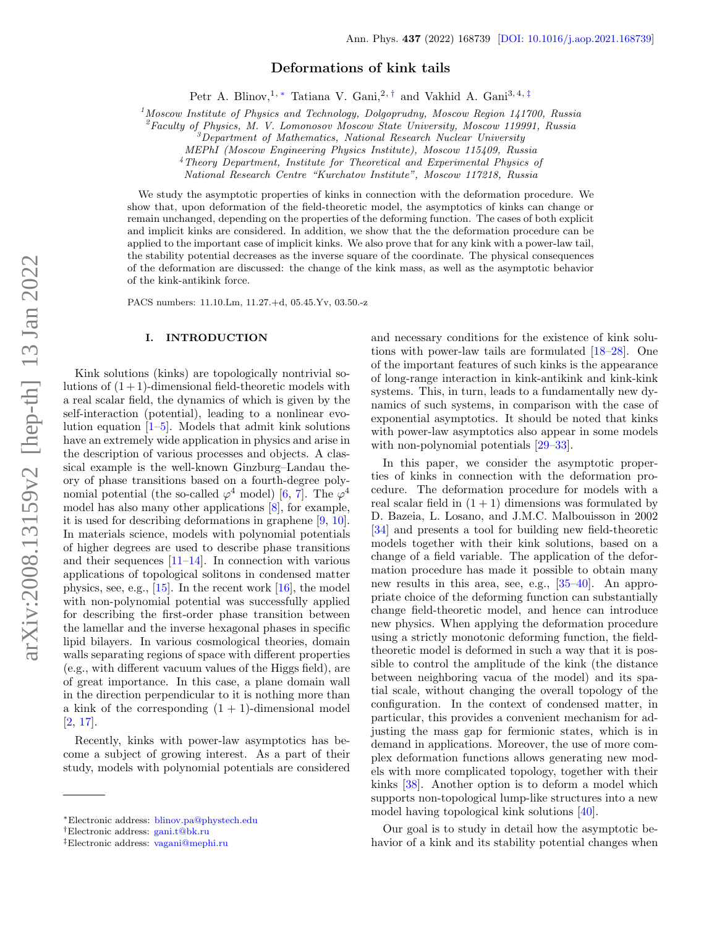# Deformations of kink tails

Petr A. Blinov,<sup>1,\*</sup> Tatiana V. Gani,<sup>2,[†](#page-0-1)</sup> and Vakhid A. Gani<sup>3,4,[‡](#page-0-2)</sup>

 $<sup>1</sup>$ Moscow Institute of Physics and Technology, Dolgoprudny, Moscow Region 141700, Russia</sup>

 ${}^{2}$ Faculty of Physics, M. V. Lomonosov Moscow State University, Moscow 119991, Russia

 $3$ Department of Mathematics, National Research Nuclear University

MEPhI (Moscow Engineering Physics Institute), Moscow 115409, Russia

<sup>4</sup>Theory Department, Institute for Theoretical and Experimental Physics of

National Research Centre "Kurchatov Institute", Moscow 117218, Russia

We study the asymptotic properties of kinks in connection with the deformation procedure. We show that, upon deformation of the field-theoretic model, the asymptotics of kinks can change or remain unchanged, depending on the properties of the deforming function. The cases of both explicit and implicit kinks are considered. In addition, we show that the the deformation procedure can be applied to the important case of implicit kinks. We also prove that for any kink with a power-law tail, the stability potential decreases as the inverse square of the coordinate. The physical consequences of the deformation are discussed: the change of the kink mass, as well as the asymptotic behavior of the kink-antikink force.

PACS numbers: 11.10.Lm, 11.27.+d, 05.45.Yv, 03.50.-z

### I. INTRODUCTION

Kink solutions (kinks) are topologically nontrivial solutions of  $(1 + 1)$ -dimensional field-theoretic models with a real scalar field, the dynamics of which is given by the self-interaction (potential), leading to a nonlinear evolution equation [\[1–](#page-11-0)[5\]](#page-11-1). Models that admit kink solutions have an extremely wide application in physics and arise in the description of various processes and objects. A classical example is the well-known Ginzburg–Landau theory of phase transitions based on a fourth-degree polynomial potential (the so-called  $\varphi^4$  model) [\[6,](#page-11-2) [7\]](#page-11-3). The  $\varphi^4$ model has also many other applications [\[8\]](#page-11-4), for example, it is used for describing deformations in graphene [\[9,](#page-11-5) [10\]](#page-11-6). In materials science, models with polynomial potentials of higher degrees are used to describe phase transitions and their sequences [\[11](#page-11-7)[–14\]](#page-11-8). In connection with various applications of topological solitons in condensed matter physics, see, e.g.,  $[15]$ . In the recent work  $[16]$ , the model with non-polynomial potential was successfully applied for describing the first-order phase transition between the lamellar and the inverse hexagonal phases in specific lipid bilayers. In various cosmological theories, domain walls separating regions of space with different properties (e.g., with different vacuum values of the Higgs field), are of great importance. In this case, a plane domain wall in the direction perpendicular to it is nothing more than a kink of the corresponding  $(1 + 1)$ -dimensional model [\[2,](#page-11-11) [17\]](#page-11-12).

Recently, kinks with power-law asymptotics has become a subject of growing interest. As a part of their study, models with polynomial potentials are considered and necessary conditions for the existence of kink solutions with power-law tails are formulated [\[18–](#page-11-13)[28\]](#page-12-0). One of the important features of such kinks is the appearance of long-range interaction in kink-antikink and kink-kink systems. This, in turn, leads to a fundamentally new dynamics of such systems, in comparison with the case of exponential asymptotics. It should be noted that kinks with power-law asymptotics also appear in some models with non-polynomial potentials  $[29-33]$  $[29-33]$ .

In this paper, we consider the asymptotic properties of kinks in connection with the deformation procedure. The deformation procedure for models with a real scalar field in  $(1 + 1)$  dimensions was formulated by D. Bazeia, L. Losano, and J.M.C. Malbouisson in 2002 [\[34\]](#page-12-3) and presents a tool for building new field-theoretic models together with their kink solutions, based on a change of a field variable. The application of the deformation procedure has made it possible to obtain many new results in this area, see, e.g., [\[35](#page-12-4)[–40\]](#page-12-5). An appropriate choice of the deforming function can substantially change field-theoretic model, and hence can introduce new physics. When applying the deformation procedure using a strictly monotonic deforming function, the fieldtheoretic model is deformed in such a way that it is possible to control the amplitude of the kink (the distance between neighboring vacua of the model) and its spatial scale, without changing the overall topology of the configuration. In the context of condensed matter, in particular, this provides a convenient mechanism for adjusting the mass gap for fermionic states, which is in demand in applications. Moreover, the use of more complex deformation functions allows generating new models with more complicated topology, together with their kinks [\[38\]](#page-12-6). Another option is to deform a model which supports non-topological lump-like structures into a new model having topological kink solutions [\[40\]](#page-12-5).

Our goal is to study in detail how the asymptotic behavior of a kink and its stability potential changes when

<span id="page-0-0"></span><sup>∗</sup>Electronic address: [blinov.pa@phystech.edu](mailto:blinov.pa@phystech.edu)

<span id="page-0-1"></span><sup>†</sup>Electronic address: [gani.t@bk.ru](mailto:gani.t@bk.ru)

<span id="page-0-2"></span><sup>‡</sup>Electronic address: [vagani@mephi.ru](mailto:vagani@mephi.ru)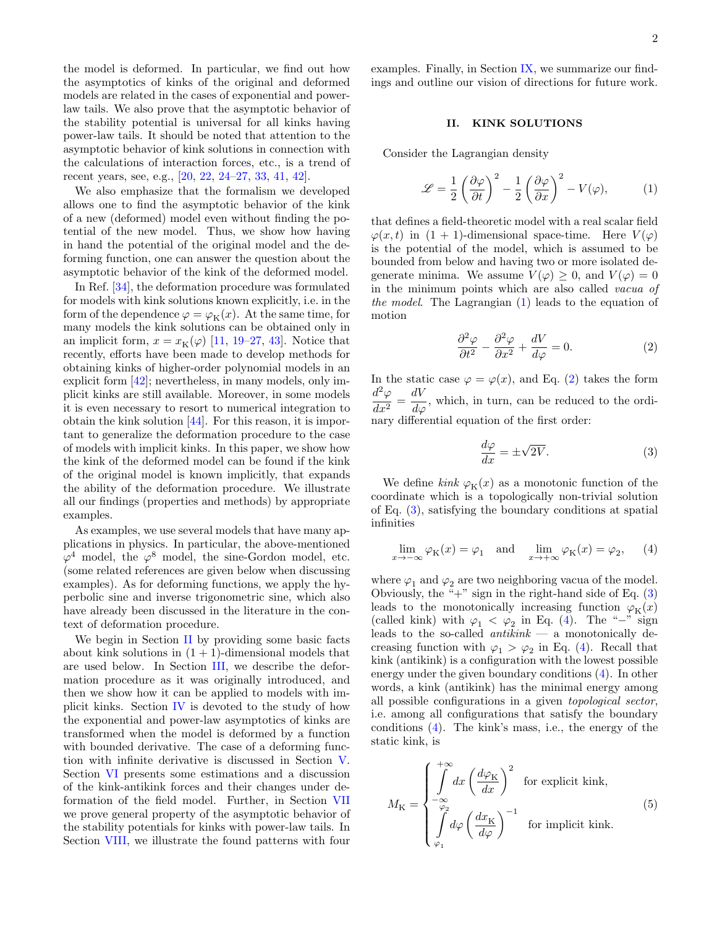the model is deformed. In particular, we find out how the asymptotics of kinks of the original and deformed models are related in the cases of exponential and powerlaw tails. We also prove that the asymptotic behavior of the stability potential is universal for all kinks having power-law tails. It should be noted that attention to the asymptotic behavior of kink solutions in connection with the calculations of interaction forces, etc., is a trend of recent years, see, e.g., [\[20,](#page-11-14) [22,](#page-12-7) [24–](#page-12-8)[27,](#page-12-9) [33,](#page-12-2) [41,](#page-12-10) [42\]](#page-12-11).

We also emphasize that the formalism we developed allows one to find the asymptotic behavior of the kink of a new (deformed) model even without finding the potential of the new model. Thus, we show how having in hand the potential of the original model and the deforming function, one can answer the question about the asymptotic behavior of the kink of the deformed model.

In Ref. [\[34\]](#page-12-3), the deformation procedure was formulated for models with kink solutions known explicitly, i.e. in the form of the dependence  $\varphi = \varphi_K(x)$ . At the same time, for many models the kink solutions can be obtained only in an implicit form,  $x = x_K(\varphi)$  [\[11,](#page-11-7) [19](#page-11-15)[–27,](#page-12-9) [43\]](#page-12-12). Notice that recently, efforts have been made to develop methods for obtaining kinks of higher-order polynomial models in an explicit form [\[42\]](#page-12-11); nevertheless, in many models, only implicit kinks are still available. Moreover, in some models it is even necessary to resort to numerical integration to obtain the kink solution [\[44\]](#page-12-13). For this reason, it is important to generalize the deformation procedure to the case of models with implicit kinks. In this paper, we show how the kink of the deformed model can be found if the kink of the original model is known implicitly, that expands the ability of the deformation procedure. We illustrate all our findings (properties and methods) by appropriate examples.

As examples, we use several models that have many applications in physics. In particular, the above-mentioned  $\varphi^4$  model, the  $\varphi^8$  model, the sine-Gordon model, etc. (some related references are given below when discussing examples). As for deforming functions, we apply the hyperbolic sine and inverse trigonometric sine, which also have already been discussed in the literature in the context of deformation procedure.

We begin in Section [II](#page-1-0) by providing some basic facts about kink solutions in  $(1 + 1)$ -dimensional models that are used below. In Section [III,](#page-2-0) we describe the deformation procedure as it was originally introduced, and then we show how it can be applied to models with implicit kinks. Section [IV](#page-2-1) is devoted to the study of how the exponential and power-law asymptotics of kinks are transformed when the model is deformed by a function with bounded derivative. The case of a deforming function with infinite derivative is discussed in Section [V.](#page-5-0) Section [VI](#page-5-1) presents some estimations and a discussion of the kink-antikink forces and their changes under deformation of the field model. Further, in Section [VII](#page-6-0) we prove general property of the asymptotic behavior of the stability potentials for kinks with power-law tails. In Section [VIII,](#page-6-1) we illustrate the found patterns with four

examples. Finally, in Section [IX,](#page-10-0) we summarize our findings and outline our vision of directions for future work.

## <span id="page-1-0"></span>II. KINK SOLUTIONS

Consider the Lagrangian density

<span id="page-1-1"></span>
$$
\mathcal{L} = \frac{1}{2} \left( \frac{\partial \varphi}{\partial t} \right)^2 - \frac{1}{2} \left( \frac{\partial \varphi}{\partial x} \right)^2 - V(\varphi), \tag{1}
$$

that defines a field-theoretic model with a real scalar field  $\varphi(x, t)$  in  $(1 + 1)$ -dimensional space-time. Here  $V(\varphi)$ is the potential of the model, which is assumed to be bounded from below and having two or more isolated degenerate minima. We assume  $V(\varphi) \geq 0$ , and  $V(\varphi) = 0$ in the minimum points which are also called vacua of the model. The Lagrangian [\(1\)](#page-1-1) leads to the equation of motion

<span id="page-1-2"></span>
$$
\frac{\partial^2 \varphi}{\partial t^2} - \frac{\partial^2 \varphi}{\partial x^2} + \frac{dV}{d\varphi} = 0.
$$
 (2)

In the static case  $\varphi = \varphi(x)$ , and Eq. [\(2\)](#page-1-2) takes the form  $d^2\varphi$  $\frac{d^2\varphi}{dx^2} = \frac{dV}{d\varphi}$ , which, in turn, can be reduced to the ordinary differential equation of the first order:

<span id="page-1-3"></span>
$$
\frac{d\varphi}{dx} = \pm \sqrt{2V}.\tag{3}
$$

We define kink  $\varphi_K(x)$  as a monotonic function of the coordinate which is a topologically non-trivial solution of Eq. [\(3\)](#page-1-3), satisfying the boundary conditions at spatial infinities

<span id="page-1-4"></span>
$$
\lim_{x \to -\infty} \varphi_{\mathcal{K}}(x) = \varphi_1 \quad \text{and} \quad \lim_{x \to +\infty} \varphi_{\mathcal{K}}(x) = \varphi_2,\qquad(4)
$$

where  $\varphi_1$  and  $\varphi_2$  are two neighboring vacua of the model. Obviously, the " $+$ " sign in the right-hand side of Eq.  $(3)$ leads to the monotonically increasing function  $\varphi_K(x)$ (called kink) with  $\varphi_1 < \varphi_2$  in Eq. [\(4\)](#page-1-4). The "−" sign leads to the so-called  $antikink$  — a monotonically decreasing function with  $\varphi_1 > \varphi_2$  in Eq. [\(4\)](#page-1-4). Recall that kink (antikink) is a configuration with the lowest possible energy under the given boundary conditions [\(4\)](#page-1-4). In other words, a kink (antikink) has the minimal energy among all possible configurations in a given topological sector, i.e. among all configurations that satisfy the boundary conditions [\(4\)](#page-1-4). The kink's mass, i.e., the energy of the static kink, is

<span id="page-1-5"></span>
$$
M_{\rm K} = \begin{cases} \int_{-\infty}^{+\infty} dx \left(\frac{d\varphi_{\rm K}}{dx}\right)^2 & \text{for explicit kink,} \\ \int_{\varphi_2}^{-\varphi_2} d\varphi \left(\frac{dx_{\rm K}}{d\varphi}\right)^{-1} & \text{for implicit kink.} \end{cases}
$$
(5)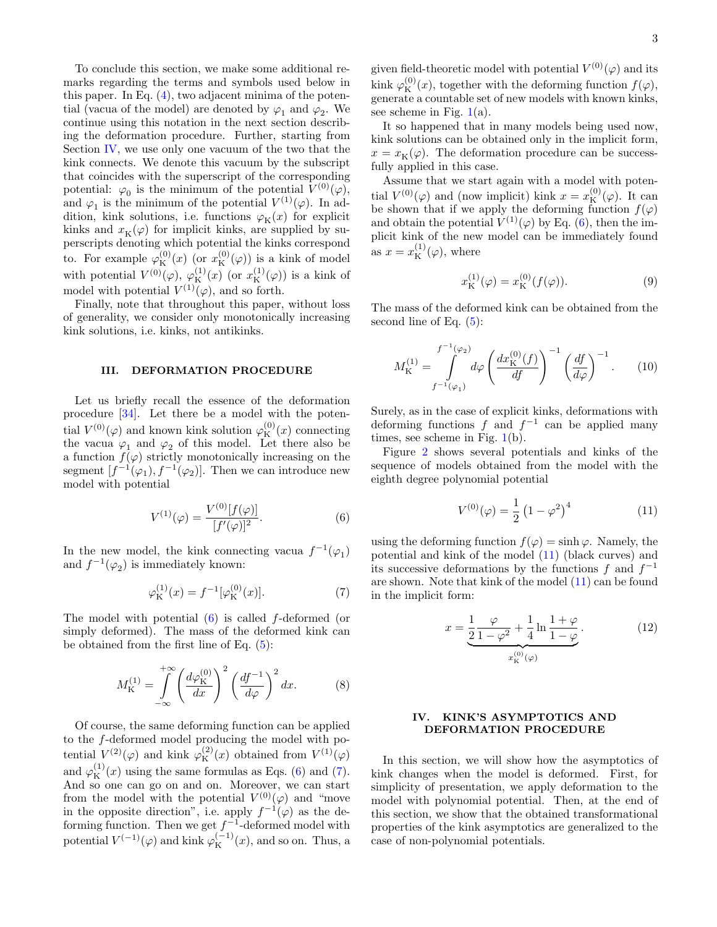To conclude this section, we make some additional remarks regarding the terms and symbols used below in this paper. In Eq. [\(4\)](#page-1-4), two adjacent minima of the potential (vacua of the model) are denoted by  $\varphi_1$  and  $\varphi_2$ . We continue using this notation in the next section describing the deformation procedure. Further, starting from Section [IV,](#page-2-1) we use only one vacuum of the two that the kink connects. We denote this vacuum by the subscript that coincides with the superscript of the corresponding potential:  $\varphi_0$  is the minimum of the potential  $V^{(0)}(\varphi)$ , and  $\varphi_1$  is the minimum of the potential  $V^{(1)}(\varphi)$ . In addition, kink solutions, i.e. functions  $\varphi_K(x)$  for explicit kinks and  $x_K(\varphi)$  for implicit kinks, are supplied by superscripts denoting which potential the kinks correspond to. For example  $\varphi_K^{(0)}(x)$  (or  $x_K^{(0)}(\varphi)$ ) is a kink of model with potential  $V^{(0)}(\varphi)$ ,  $\varphi_{\mathcal{K}}^{(1)}(x)$  (or  $x_{\mathcal{K}}^{(1)}(\varphi)$ ) is a kink of model with potential  $V^{(1)}(\varphi)$ , and so forth.

Finally, note that throughout this paper, without loss of generality, we consider only monotonically increasing kink solutions, i.e. kinks, not antikinks.

#### <span id="page-2-0"></span>III. DEFORMATION PROCEDURE

Let us briefly recall the essence of the deformation procedure [\[34\]](#page-12-3). Let there be a model with the potential  $V^{(0)}(\varphi)$  and known kink solution  $\varphi_{\mathcal{K}}^{(0)}(x)$  connecting the vacua  $\varphi_1$  and  $\varphi_2$  of this model. Let there also be a function  $f(\varphi)$  strictly monotonically increasing on the segment  $[f^{-1}(\varphi_1), f^{-1}(\varphi_2)]$ . Then we can introduce new model with potential

<span id="page-2-2"></span>
$$
V^{(1)}(\varphi) = \frac{V^{(0)}[f(\varphi)]}{[f'(\varphi)]^2}.
$$
\n(6)

In the new model, the kink connecting vacua  $f^{-1}(\varphi_1)$ and  $f^{-1}(\varphi_2)$  is immediately known:

<span id="page-2-3"></span>
$$
\varphi_{\mathcal{K}}^{(1)}(x) = f^{-1}[\varphi_{\mathcal{K}}^{(0)}(x)].
$$
\n(7)

The model with potential  $(6)$  is called f-deformed (or simply deformed). The mass of the deformed kink can be obtained from the first line of Eq.  $(5)$ :

<span id="page-2-5"></span>
$$
M_{\mathcal{K}}^{(1)} = \int_{-\infty}^{+\infty} \left(\frac{d\varphi_{\mathcal{K}}^{(0)}}{dx}\right)^2 \left(\frac{df^{-1}}{d\varphi}\right)^2 dx.
$$
 (8)

Of course, the same deforming function can be applied to the f-deformed model producing the model with potential  $V^{(2)}(\varphi)$  and kink  $\varphi_{\rm K}^{(2)}(x)$  obtained from  $V^{(1)}(\varphi)$ and  $\varphi_{\rm K}^{(1)}(x)$  using the same formulas as Eqs. [\(6\)](#page-2-2) and [\(7\)](#page-2-3). And so one can go on and on. Moreover, we can start from the model with the potential  $V^{(0)}(\varphi)$  and "move in the opposite direction", i.e. apply  $f^{-1}(\varphi)$  as the deforming function. Then we get  $f^{-1}$ -deformed model with potential  $V^{(-1)}(\varphi)$  and kink  $\varphi_{\rm K}^{(-1)}(x)$ , and so on. Thus, a

given field-theoretic model with potential  $V^{(0)}(\varphi)$  and its kink  $\varphi_K^{(0)}(x)$ , together with the deforming function  $f(\varphi)$ , generate a countable set of new models with known kinks, see scheme in Fig.  $1(a)$  $1(a)$ .

It so happened that in many models being used now, kink solutions can be obtained only in the implicit form,  $x = x<sub>K</sub>(\varphi)$ . The deformation procedure can be successfully applied in this case.

Assume that we start again with a model with potential  $V^{(0)}(\varphi)$  and (now implicit) kink  $x = x_{\text{K}}^{(0)}(\varphi)$ . It can be shown that if we apply the deforming function  $f(\varphi)$ and obtain the potential  $V^{(1)}(\varphi)$  by Eq. [\(6\)](#page-2-2), then the implicit kink of the new model can be immediately found as  $x = x_{\text{K}}^{(1)}(\varphi)$ , where

<span id="page-2-7"></span>
$$
x_{\mathcal{K}}^{(1)}(\varphi) = x_{\mathcal{K}}^{(0)}(f(\varphi)).
$$
\n(9)

The mass of the deformed kink can be obtained from the second line of Eq.  $(5)$ :

<span id="page-2-6"></span>
$$
M_{\mathcal{K}}^{(1)} = \int_{f^{-1}(\varphi_1)}^{f^{-1}(\varphi_2)} d\varphi \left(\frac{dx_{\mathcal{K}}^{(0)}(f)}{df}\right)^{-1} \left(\frac{df}{d\varphi}\right)^{-1}.
$$
 (10)

Surely, as in the case of explicit kinks, deformations with deforming functions f and  $f^{-1}$  can be applied many times, see scheme in Fig. [1\(](#page-3-0)b).

Figure [2](#page-3-1) shows several potentials and kinks of the sequence of models obtained from the model with the eighth degree polynomial potential

<span id="page-2-4"></span>
$$
V^{(0)}(\varphi) = \frac{1}{2} (1 - \varphi^2)^4
$$
 (11)

using the deforming function  $f(\varphi) = \sinh \varphi$ . Namely, the potential and kink of the model [\(11\)](#page-2-4) (black curves) and its successive deformations by the functions f and  $f^{-1}$ are shown. Note that kink of the model [\(11\)](#page-2-4) can be found in the implicit form:

$$
x = \underbrace{\frac{1}{2} \frac{\varphi}{1 - \varphi^2} + \frac{1}{4} \ln \frac{1 + \varphi}{1 - \varphi}}_{x_{\text{K}}^{(0)}(\varphi)}.
$$
 (12)

## <span id="page-2-1"></span>IV. KINK'S ASYMPTOTICS AND DEFORMATION PROCEDURE

In this section, we will show how the asymptotics of kink changes when the model is deformed. First, for simplicity of presentation, we apply deformation to the model with polynomial potential. Then, at the end of this section, we show that the obtained transformational properties of the kink asymptotics are generalized to the case of non-polynomial potentials.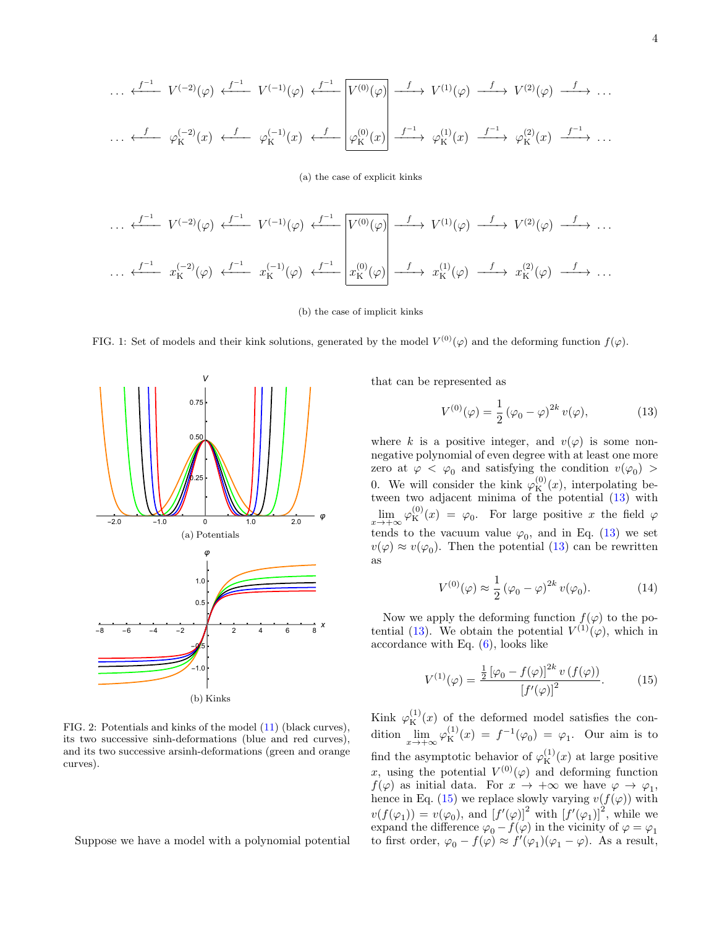$$
\cdots \xleftarrow{f^{-1}} V^{(-2)}(\varphi) \xleftarrow{f^{-1}} V^{(-1)}(\varphi) \xleftarrow{f^{-1}} \boxed{V^{(0)}(\varphi)} \xrightarrow{f} V^{(1)}(\varphi) \xrightarrow{f} V^{(2)}(\varphi) \xrightarrow{f} \cdots
$$

$$
\cdots \xleftarrow{f} \varphi_{\mathcal{K}}^{(-2)}(x) \xleftarrow{f} \varphi_{\mathcal{K}}^{(-1)}(x) \xleftarrow{f} \boxed{\varphi_{\mathcal{K}}^{(0)}(x)} \xrightarrow{f^{-1}} \varphi_{\mathcal{K}}^{(1)}(x) \xrightarrow{f^{-1}} \varphi_{\mathcal{K}}^{(2)}(x) \xrightarrow{f^{-1}} \cdots
$$

(a) the case of explicit kinks

$$
\cdots \xleftarrow{f^{-1}} V^{(-2)}(\varphi) \xleftarrow{f^{-1}} V^{(-1)}(\varphi) \xleftarrow{f^{-1}} V^{(0)}(\varphi) \xrightarrow{f} V^{(1)}(\varphi) \xrightarrow{f} V^{(2)}(\varphi) \xrightarrow{f} \cdots
$$

$$
\cdots \xleftarrow{f^{-1}} x_K^{(-2)}(\varphi) \xleftarrow{f^{-1}} x_K^{(-1)}(\varphi) \xleftarrow{f^{-1}} x_K^{(0)}(\varphi) \xrightarrow{f} x_K^{(1)}(\varphi) \xrightarrow{f} x_K^{(2)}(\varphi) \xrightarrow{f} \cdots
$$

(b) the case of implicit kinks

<span id="page-3-0"></span>FIG. 1: Set of models and their kink solutions, generated by the model  $V^{(0)}(\varphi)$  and the deforming function  $f(\varphi)$ .



<span id="page-3-1"></span>FIG. 2: Potentials and kinks of the model [\(11\)](#page-2-4) (black curves), its two successive sinh-deformations (blue and red curves), and its two successive arsinh-deformations (green and orange curves).

Suppose we have a model with a polynomial potential

that can be represented as

<span id="page-3-2"></span>
$$
V^{(0)}(\varphi) = \frac{1}{2} (\varphi_0 - \varphi)^{2k} v(\varphi),
$$
 (13)

where k is a positive integer, and  $v(\varphi)$  is some nonnegative polynomial of even degree with at least one more zero at  $\varphi < \varphi_0$  and satisfying the condition  $v(\varphi_0)$ 0. We will consider the kink  $\varphi_{\rm K}^{(0)}(x)$ , interpolating between two adjacent minima of the potential [\(13\)](#page-3-2) with  $\lim_{x \to +\infty} \varphi_{\mathcal{K}}^{(0)}(x) = \varphi_0$ . For large positive x the field  $\varphi$ tends to the vacuum value  $\varphi_0$ , and in Eq. [\(13\)](#page-3-2) we set  $v(\varphi) \approx v(\varphi_0)$ . Then the potential [\(13\)](#page-3-2) can be rewritten as

<span id="page-3-4"></span>
$$
V^{(0)}(\varphi) \approx \frac{1}{2} \left(\varphi_0 - \varphi\right)^{2k} v(\varphi_0). \tag{14}
$$

Now we apply the deforming function  $f(\varphi)$  to the po-tential [\(13\)](#page-3-2). We obtain the potential  $V^{(1)}(\varphi)$ , which in accordance with Eq. [\(6\)](#page-2-2), looks like

<span id="page-3-3"></span>
$$
V^{(1)}(\varphi) = \frac{\frac{1}{2} [\varphi_0 - f(\varphi)]^{2k} v(f(\varphi))}{[f'(\varphi)]^2}.
$$
 (15)

Kink  $\varphi_{\rm K}^{(1)}(x)$  of the deformed model satisfies the condition  $\lim_{x \to +\infty} \varphi_{\mathcal{K}}^{(1)}(x) = f^{-1}(\varphi_0) = \varphi_1$ . Our aim is to find the asymptotic behavior of  $\varphi_{\rm K}^{(1)}(x)$  at large positive x, using the potential  $V^{(0)}(\varphi)$  and deforming function  $f(\varphi)$  as initial data. For  $x \to +\infty$  we have  $\varphi \to \varphi_1$ , hence in Eq. [\(15\)](#page-3-3) we replace slowly varying  $v(f(\varphi))$  with  $v(f(\varphi_1)) = v(\varphi_0)$ , and  $[f'(\varphi)]^2$  with  $[f'(\varphi_1)]^2$ , while we expand the difference  $\varphi_0 - f(\varphi)$  in the vicinity of  $\varphi = \varphi_1$ to first order,  $\varphi_0 - f(\varphi) \approx f'(\varphi_1)(\varphi_1 - \varphi)$ . As a result,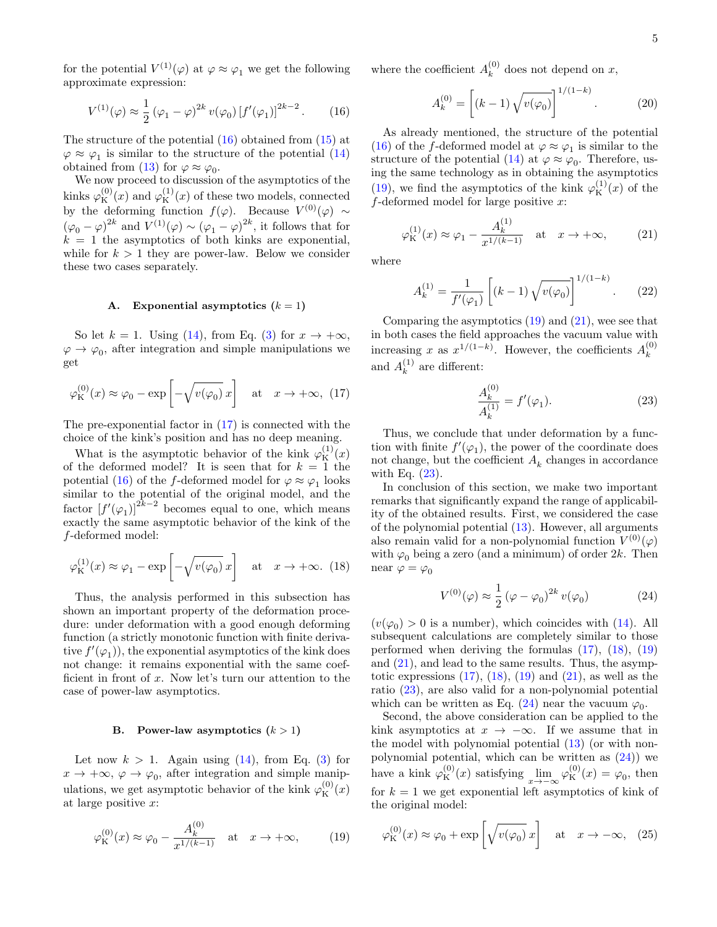for the potential  $V^{(1)}(\varphi)$  at  $\varphi \approx \varphi_1$  we get the following approximate expression:

<span id="page-4-0"></span>
$$
V^{(1)}(\varphi) \approx \frac{1}{2} (\varphi_1 - \varphi)^{2k} v(\varphi_0) [f'(\varphi_1)]^{2k-2}.
$$
 (16)

The structure of the potential [\(16\)](#page-4-0) obtained from [\(15\)](#page-3-3) at  $\varphi \approx \varphi_1$  is similar to the structure of the potential [\(14\)](#page-3-4) obtained from [\(13\)](#page-3-2) for  $\varphi \approx \varphi_0$ .

We now proceed to discussion of the asymptotics of the kinks  $\varphi_{\mathcal{K}}^{(0)}(x)$  and  $\varphi_{\mathcal{K}}^{(1)}(x)$  of these two models, connected by the deforming function  $f(\varphi)$ . Because  $V^{(0)}(\varphi) \sim$  $(\varphi_0 - \varphi)^{2k}$  and  $V^{(1)}(\varphi) \sim (\varphi_1 - \varphi)^{2k}$ , it follows that for  $k = 1$  the asymptotics of both kinks are exponential, while for  $k > 1$  they are power-law. Below we consider these two cases separately.

#### <span id="page-4-10"></span>A. Exponential asymptotics  $(k = 1)$

So let  $k = 1$ . Using [\(14\)](#page-3-4), from Eq. [\(3\)](#page-1-3) for  $x \to +\infty$ ,  $\varphi \to \varphi_0$ , after integration and simple manipulations we get

<span id="page-4-1"></span>
$$
\varphi_{\mathcal{K}}^{(0)}(x) \approx \varphi_0 - \exp\left[-\sqrt{v(\varphi_0)}x\right]
$$
 at  $x \to +\infty$ , (17)

The pre-exponential factor in  $(17)$  is connected with the choice of the kink's position and has no deep meaning.

What is the asymptotic behavior of the kink  $\varphi_{\rm K}^{(1)}(x)$ of the deformed model? It is seen that for  $k = 1$  the potential [\(16\)](#page-4-0) of the *f*-deformed model for  $\varphi \approx \varphi_1$  looks similar to the potential of the original model, and the factor  $[f'(\varphi_1)]^{2k-2}$  becomes equal to one, which means exactly the same asymptotic behavior of the kink of the f-deformed model:

<span id="page-4-5"></span>
$$
\varphi_{\mathcal{K}}^{(1)}(x) \approx \varphi_1 - \exp\left[-\sqrt{v(\varphi_0)}x\right]
$$
 at  $x \to +\infty$ . (18)

Thus, the analysis performed in this subsection has shown an important property of the deformation procedure: under deformation with a good enough deforming function (a strictly monotonic function with finite derivative  $f'(\varphi_1)$ , the exponential asymptotics of the kink does not change: it remains exponential with the same coefficient in front of  $x$ . Now let's turn our attention to the case of power-law asymptotics.

# <span id="page-4-9"></span>B. Power-law asymptotics  $(k > 1)$

Let now  $k > 1$ . Again using  $(14)$ , from Eq.  $(3)$  for  $x \to +\infty$ ,  $\varphi \to \varphi_0$ , after integration and simple manipulations, we get asymptotic behavior of the kink  $\varphi_{\mathbf{K}}^{(0)}(x)$ at large positive x:

<span id="page-4-2"></span>
$$
\varphi_{\mathcal{K}}^{(0)}(x) \approx \varphi_0 - \frac{A_k^{(0)}}{x^{1/(k-1)}} \quad \text{at} \quad x \to +\infty,\tag{19}
$$

where the coefficient  $A_k^{(0)}$  $\kappa^{(0)}$  does not depend on x,

<span id="page-4-7"></span>
$$
A_k^{(0)} = \left[ (k-1) \sqrt{v(\varphi_0)} \right]^{1/(1-k)}.
$$
 (20)

As already mentioned, the structure of the potential [\(16\)](#page-4-0) of the f-deformed model at  $\varphi \approx \varphi_1$  is similar to the structure of the potential [\(14\)](#page-3-4) at  $\varphi \approx \varphi_0$ . Therefore, using the same technology as in obtaining the asymptotics [\(19\)](#page-4-2), we find the asymptotics of the kink  $\varphi_{\rm K}^{(1)}(x)$  of the  $f$ -deformed model for large positive x:

<span id="page-4-3"></span>
$$
\varphi_{\mathcal{K}}^{(1)}(x) \approx \varphi_1 - \frac{A_k^{(1)}}{x^{1/(k-1)}} \quad \text{at} \quad x \to +\infty,
$$
 (21)

where

<span id="page-4-8"></span>
$$
A_k^{(1)} = \frac{1}{f'(\varphi_1)} \left[ (k-1) \sqrt{v(\varphi_0)} \right]^{1/(1-k)}.
$$
 (22)

Comparing the asymptotics  $(19)$  and  $(21)$ , wee see that in both cases the field approaches the vacuum value with increasing x as  $x^{1/(1-k)}$ . However, the coefficients  $A_k^{(0)}$ k and  $A_k^{(1)}$  $k^{(1)}$  are different:

<span id="page-4-4"></span>
$$
\frac{A_k^{(0)}}{A_k^{(1)}} = f'(\varphi_1). \tag{23}
$$

Thus, we conclude that under deformation by a function with finite  $f'(\varphi_1)$ , the power of the coordinate does not change, but the coefficient  $\boldsymbol{A}_k$  changes in accordance with Eq.  $(23)$ .

In conclusion of this section, we make two important remarks that significantly expand the range of applicability of the obtained results. First, we considered the case of the polynomial potential [\(13\)](#page-3-2). However, all arguments also remain valid for a non-polynomial function  $V^{(0)}(\varphi)$ with  $\varphi_0$  being a zero (and a minimum) of order 2k. Then near  $\varphi = \varphi_0$ 

<span id="page-4-6"></span>
$$
V^{(0)}(\varphi) \approx \frac{1}{2} (\varphi - \varphi_0)^{2k} v(\varphi_0)
$$
 (24)

 $(v(\varphi_0) > 0$  is a number), which coincides with [\(14\)](#page-3-4). All subsequent calculations are completely similar to those performed when deriving the formulas [\(17\)](#page-4-1), [\(18\)](#page-4-5), [\(19\)](#page-4-2) and [\(21\)](#page-4-3), and lead to the same results. Thus, the asymptotic expressions  $(17)$ ,  $(18)$ ,  $(19)$  and  $(21)$ , as well as the ratio [\(23\)](#page-4-4), are also valid for a non-polynomial potential which can be written as Eq. [\(24\)](#page-4-6) near the vacuum  $\varphi_0$ .

Second, the above consideration can be applied to the kink asymptotics at  $x \to -\infty$ . If we assume that in the model with polynomial potential [\(13\)](#page-3-2) (or with nonpolynomial potential, which can be written as [\(24\)](#page-4-6)) we have a kink  $\varphi_{\mathcal{K}}^{(0)}(x)$  satisfying  $\lim_{x \to -\infty} \varphi_{\mathcal{K}}^{(0)}(x) = \varphi_0$ , then for  $k = 1$  we get exponential left asymptotics of kink of the original model:

<span id="page-4-11"></span>
$$
\varphi_{\mathcal{K}}^{(0)}(x) \approx \varphi_0 + \exp\left[\sqrt{v(\varphi_0)}\,x\right] \quad \text{at} \quad x \to -\infty, \quad (25)
$$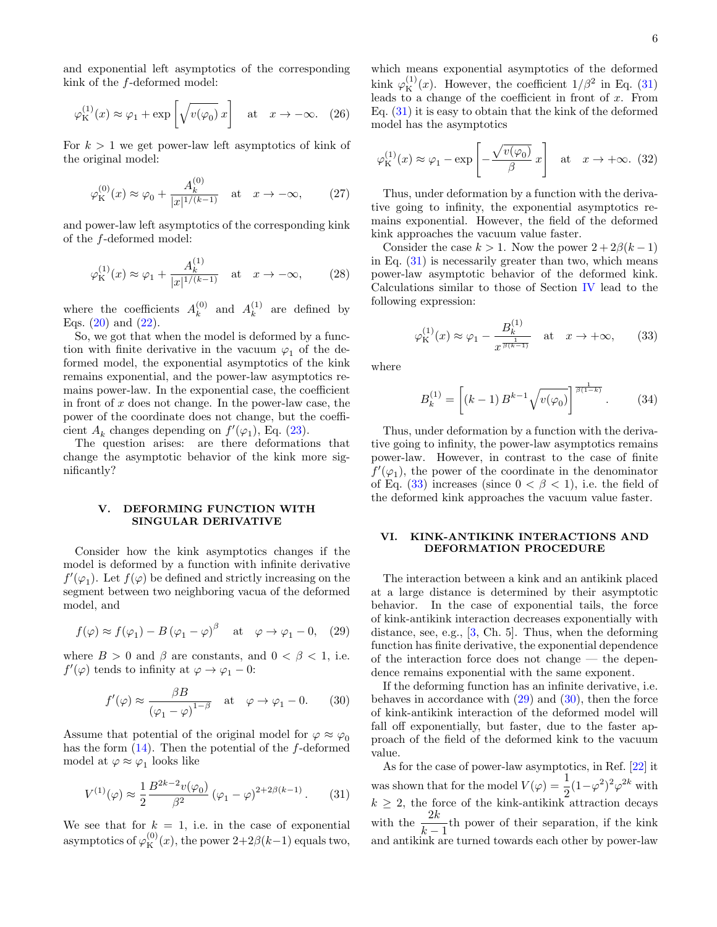and exponential left asymptotics of the corresponding kink of the f-deformed model:

<span id="page-5-8"></span>
$$
\varphi_{\mathcal{K}}^{(1)}(x) \approx \varphi_1 + \exp\left[\sqrt{v(\varphi_0)}\,x\right] \quad \text{at} \quad x \to -\infty. \tag{26}
$$

For  $k > 1$  we get power-law left asymptotics of kink of the original model:

<span id="page-5-6"></span>
$$
\varphi_{\mathcal{K}}^{(0)}(x) \approx \varphi_0 + \frac{A_k^{(0)}}{|x|^{1/(k-1)}} \quad \text{at} \quad x \to -\infty,
$$
 (27)

and power-law left asymptotics of the corresponding kink of the f-deformed model:

<span id="page-5-7"></span>
$$
\varphi_{\mathcal{K}}^{(1)}(x) \approx \varphi_1 + \frac{A_k^{(1)}}{|x|^{1/(k-1)}} \quad \text{at} \quad x \to -\infty,
$$
 (28)

where the coefficients  $A_k^{(0)}$  $\begin{matrix} (0) \\ k \end{matrix}$  and  $A_k^{(1)}$  $k^{(1)}$  are defined by Eqs.  $(20)$  and  $(22)$ .

So, we got that when the model is deformed by a function with finite derivative in the vacuum  $\varphi_1$  of the deformed model, the exponential asymptotics of the kink remains exponential, and the power-law asymptotics remains power-law. In the exponential case, the coefficient in front of  $x$  does not change. In the power-law case, the power of the coordinate does not change, but the coefficient  $A_k$  changes depending on  $f'(\varphi_1)$ , Eq. [\(23\)](#page-4-4).

The question arises: are there deformations that change the asymptotic behavior of the kink more significantly?

# <span id="page-5-0"></span>V. DEFORMING FUNCTION WITH SINGULAR DERIVATIVE

Consider how the kink asymptotics changes if the model is deformed by a function with infinite derivative  $f'(\varphi_1)$ . Let  $f(\varphi)$  be defined and strictly increasing on the segment between two neighboring vacua of the deformed model, and

<span id="page-5-4"></span>
$$
f(\varphi) \approx f(\varphi_1) - B(\varphi_1 - \varphi)^\beta
$$
 at  $\varphi \to \varphi_1 - 0$ , (29)

where  $B > 0$  and  $\beta$  are constants, and  $0 < \beta < 1$ , i.e.  $f'(\varphi)$  tends to infinity at  $\varphi \to \varphi_1 - 0$ :

<span id="page-5-5"></span>
$$
f'(\varphi) \approx \frac{\beta B}{(\varphi_1 - \varphi)^{1-\beta}}
$$
 at  $\varphi \to \varphi_1 - 0.$  (30)

Assume that potential of the original model for  $\varphi \approx \varphi_0$ has the form  $(14)$ . Then the potential of the f-deformed model at  $\varphi \approx \varphi_1$  looks like

<span id="page-5-2"></span>
$$
V^{(1)}(\varphi) \approx \frac{1}{2} \frac{B^{2k-2}v(\varphi_0)}{\beta^2} (\varphi_1 - \varphi)^{2+2\beta(k-1)}.
$$
 (31)

We see that for  $k = 1$ , i.e. in the case of exponential asymptotics of  $\varphi_K^{(0)}(x)$ , the power  $2+2\beta(k-1)$  equals two,

which means exponential asymptotics of the deformed kink  $\varphi_K^{(1)}(x)$ . However, the coefficient  $1/\beta^2$  in Eq. [\(31\)](#page-5-2) leads to a change of the coefficient in front of  $x$ . From Eq. [\(31\)](#page-5-2) it is easy to obtain that the kink of the deformed model has the asymptotics

<span id="page-5-9"></span>
$$
\varphi_{\mathcal{K}}^{(1)}(x) \approx \varphi_1 - \exp\left[-\frac{\sqrt{v(\varphi_0)}}{\beta}x\right]
$$
 at  $x \to +\infty$ . (32)

Thus, under deformation by a function with the derivative going to infinity, the exponential asymptotics remains exponential. However, the field of the deformed kink approaches the vacuum value faster.

Consider the case  $k > 1$ . Now the power  $2 + 2\beta(k-1)$ in Eq. [\(31\)](#page-5-2) is necessarily greater than two, which means power-law asymptotic behavior of the deformed kink. Calculations similar to those of Section [IV](#page-2-1) lead to the following expression:

<span id="page-5-3"></span>
$$
\varphi_{\mathcal{K}}^{(1)}(x) \approx \varphi_1 - \frac{B_k^{(1)}}{x^{\frac{1}{\beta(k-1)}}} \quad \text{at} \quad x \to +\infty,\qquad(33)
$$

where

$$
B_k^{(1)} = \left[ (k-1) B^{k-1} \sqrt{v(\varphi_0)} \right]^{\frac{1}{\beta(1-k)}}.
$$
 (34)

Thus, under deformation by a function with the derivative going to infinity, the power-law asymptotics remains power-law. However, in contrast to the case of finite  $f'(\varphi_1)$ , the power of the coordinate in the denominator of Eq. [\(33\)](#page-5-3) increases (since  $0 < \beta < 1$ ), i.e. the field of the deformed kink approaches the vacuum value faster.

# <span id="page-5-1"></span>VI. KINK-ANTIKINK INTERACTIONS AND DEFORMATION PROCEDURE

The interaction between a kink and an antikink placed at a large distance is determined by their asymptotic behavior. In the case of exponential tails, the force of kink-antikink interaction decreases exponentially with distance, see, e.g., [\[3,](#page-11-16) Ch. 5]. Thus, when the deforming function has finite derivative, the exponential dependence of the interaction force does not change — the dependence remains exponential with the same exponent.

If the deforming function has an infinite derivative, i.e. behaves in accordance with  $(29)$  and  $(30)$ , then the force of kink-antikink interaction of the deformed model will fall off exponentially, but faster, due to the faster approach of the field of the deformed kink to the vacuum value.

As for the case of power-law asymptotics, in Ref. [\[22\]](#page-12-7) it was shown that for the model  $V(\varphi) = \frac{1}{2}(1-\varphi^2)^2\varphi^{2k}$  with  $k \geq 2$ , the force of the kink-antikink attraction decays with the  $\frac{2k}{1}$  $\frac{2\pi}{k-1}$ th power of their separation, if the kink and antikink are turned towards each other by power-law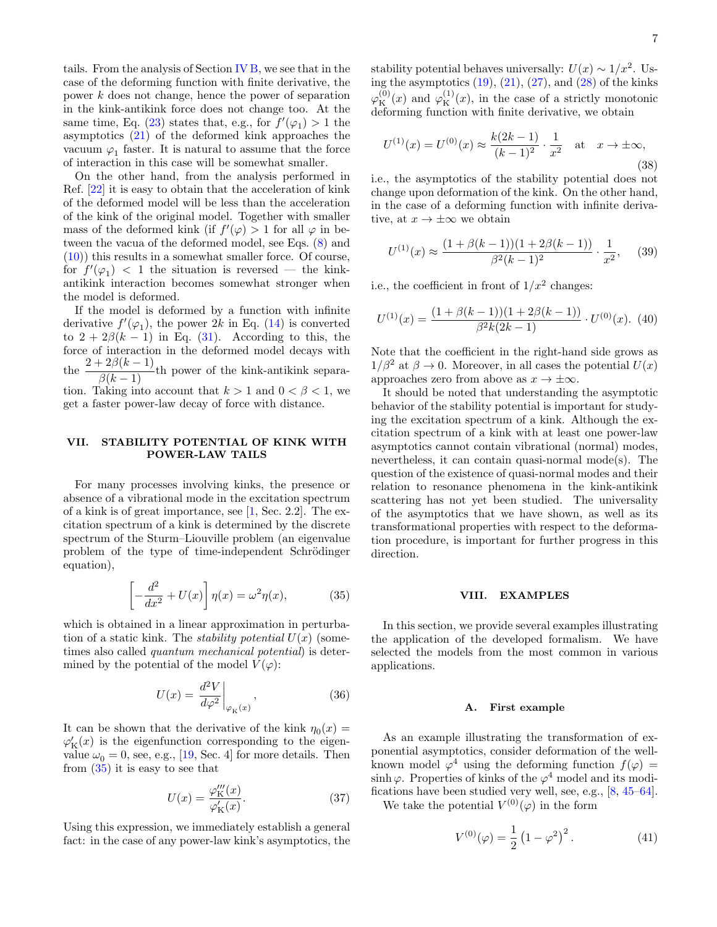tails. From the analysis of Section [IV B,](#page-4-9) we see that in the case of the deforming function with finite derivative, the power k does not change, hence the power of separation in the kink-antikink force does not change too. At the same time, Eq. [\(23\)](#page-4-4) states that, e.g., for  $f'(\varphi_1) > 1$  the asymptotics [\(21\)](#page-4-3) of the deformed kink approaches the vacuum  $\varphi_1$  faster. It is natural to assume that the force of interaction in this case will be somewhat smaller.

On the other hand, from the analysis performed in Ref. [\[22\]](#page-12-7) it is easy to obtain that the acceleration of kink of the deformed model will be less than the acceleration of the kink of the original model. Together with smaller mass of the deformed kink (if  $f'(\varphi) > 1$  for all  $\varphi$  in between the vacua of the deformed model, see Eqs. [\(8\)](#page-2-5) and [\(10\)](#page-2-6)) this results in a somewhat smaller force. Of course, for  $f'(\varphi_1)$  < 1 the situation is reversed — the kinkantikink interaction becomes somewhat stronger when the model is deformed.

If the model is deformed by a function with infinite derivative  $f'(\varphi_1)$ , the power 2k in Eq. [\(14\)](#page-3-4) is converted to  $2 + 2\beta(k - 1)$  in Eq. [\(31\)](#page-5-2). According to this, the force of interaction in the deformed model decays with the  $\frac{2+2\beta(k-1)}{\beta(k-1)}$ th power of the kink-antikink separation. Taking into account that  $k > 1$  and  $0 < \beta < 1$ , we get a faster power-law decay of force with distance.

# <span id="page-6-0"></span>VII. STABILITY POTENTIAL OF KINK WITH POWER-LAW TAILS

For many processes involving kinks, the presence or absence of a vibrational mode in the excitation spectrum of a kink is of great importance, see [\[1,](#page-11-0) Sec. 2.2]. The excitation spectrum of a kink is determined by the discrete spectrum of the Sturm–Liouville problem (an eigenvalue problem of the type of time-independent Schrödinger equation),

<span id="page-6-2"></span>
$$
\left[-\frac{d^2}{dx^2} + U(x)\right]\eta(x) = \omega^2 \eta(x),\tag{35}
$$

which is obtained in a linear approximation in perturbation of a static kink. The *stability potential*  $U(x)$  (sometimes also called quantum mechanical potential) is determined by the potential of the model  $V(\varphi)$ :

$$
U(x) = \frac{d^2 V}{d\varphi^2}\bigg|_{\varphi_K(x)},\tag{36}
$$

It can be shown that the derivative of the kink  $\eta_0(x) =$  $\varphi'_{\rm K}(x)$  is the eigenfunction corresponding to the eigenvalue  $\omega_0 = 0$ , see, e.g., [\[19,](#page-11-15) Sec. 4] for more details. Then from [\(35\)](#page-6-2) it is easy to see that

$$
U(x) = \frac{\varphi_{\mathcal{K}}'''(x)}{\varphi_{\mathcal{K}}'(x)}.
$$
\n(37)

Using this expression, we immediately establish a general fact: in the case of any power-law kink's asymptotics, the

stability potential behaves universally:  $U(x) \sim 1/x^2$ . Using the asymptotics  $(19)$ ,  $(21)$ ,  $(27)$ , and  $(28)$  of the kinks  $\varphi_{\rm K}^{(0)}(x)$  and  $\varphi_{\rm K}^{(1)}(x)$ , in the case of a strictly monotonic deforming function with finite derivative, we obtain

$$
U^{(1)}(x) = U^{(0)}(x) \approx \frac{k(2k-1)}{(k-1)^2} \cdot \frac{1}{x^2} \quad \text{at} \quad x \to \pm \infty,
$$
\n(38)

i.e., the asymptotics of the stability potential does not change upon deformation of the kink. On the other hand, in the case of a deforming function with infinite derivative, at  $x \to \pm \infty$  we obtain

$$
U^{(1)}(x) \approx \frac{(1 + \beta(k-1))(1 + 2\beta(k-1))}{\beta^2(k-1)^2} \cdot \frac{1}{x^2},
$$
 (39)

i.e., the coefficient in front of  $1/x^2$  changes:

$$
U^{(1)}(x) = \frac{(1 + \beta(k-1))(1 + 2\beta(k-1))}{\beta^2 k(2k-1)} \cdot U^{(0)}(x). \tag{40}
$$

Note that the coefficient in the right-hand side grows as  $1/\beta^2$  at  $\beta \to 0$ . Moreover, in all cases the potential  $U(x)$ approaches zero from above as  $x \to \pm \infty$ .

It should be noted that understanding the asymptotic behavior of the stability potential is important for studying the excitation spectrum of a kink. Although the excitation spectrum of a kink with at least one power-law asymptotics cannot contain vibrational (normal) modes, nevertheless, it can contain quasi-normal mode(s). The question of the existence of quasi-normal modes and their relation to resonance phenomena in the kink-antikink scattering has not yet been studied. The universality of the asymptotics that we have shown, as well as its transformational properties with respect to the deformation procedure, is important for further progress in this direction.

### <span id="page-6-1"></span>VIII. EXAMPLES

In this section, we provide several examples illustrating the application of the developed formalism. We have selected the models from the most common in various applications.

# <span id="page-6-4"></span>A. First example

As an example illustrating the transformation of exponential asymptotics, consider deformation of the wellknown model  $\varphi^4$  using the deforming function  $f(\varphi)$  = sinh  $\varphi$ . Properties of kinks of the  $\varphi^4$  model and its modifications have been studied very well, see, e.g., [\[8,](#page-11-4) [45–](#page-12-14)[64\]](#page-13-0).

We take the potential  $V^{(0)}(\varphi)$  in the form

<span id="page-6-3"></span>
$$
V^{(0)}(\varphi) = \frac{1}{2} (1 - \varphi^2)^2.
$$
 (41)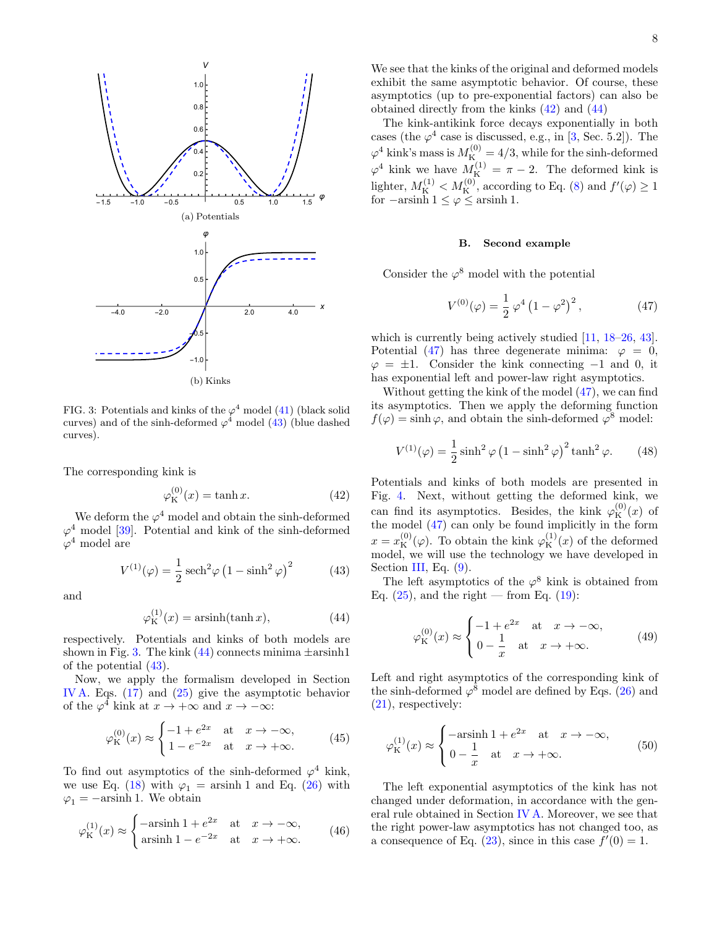

<span id="page-7-1"></span>FIG. 3: Potentials and kinks of the  $\varphi^4$  model [\(41\)](#page-6-3) (black solid curves) and of the sinh-deformed  $\varphi^4$  model [\(43\)](#page-7-0) (blue dashed curves).

The corresponding kink is

<span id="page-7-3"></span>
$$
\varphi_{\mathcal{K}}^{(0)}(x) = \tanh x. \tag{42}
$$

We deform the  $\varphi^4$  model and obtain the sinh-deformed  $\varphi^4$  model [\[39\]](#page-12-15). Potential and kink of the sinh-deformed  $\varphi^4$  model are

<span id="page-7-0"></span>
$$
V^{(1)}(\varphi) = \frac{1}{2}\operatorname{sech}^{2}\varphi\left(1 - \sinh^{2}\varphi\right)^{2} \tag{43}
$$

and

<span id="page-7-2"></span>
$$
\varphi_{\mathcal{K}}^{(1)}(x) = \operatorname{arsinh}(\tanh x),\tag{44}
$$

respectively. Potentials and kinks of both models are shown in Fig. [3.](#page-7-1) The kink  $(44)$  connects minima  $\pm$ arsinh1 of the potential [\(43\)](#page-7-0).

Now, we apply the formalism developed in Section [IV A.](#page-4-10) Eqs. [\(17\)](#page-4-1) and [\(25\)](#page-4-11) give the asymptotic behavior of the  $\varphi^4$  kink at  $x \to +\infty$  and  $x \to -\infty$ :

<span id="page-7-8"></span>
$$
\varphi_{\mathcal{K}}^{(0)}(x) \approx \begin{cases} -1 + e^{2x} & \text{at } x \to -\infty, \\ 1 - e^{-2x} & \text{at } x \to +\infty. \end{cases} (45)
$$

To find out asymptotics of the sinh-deformed  $\varphi^4$  kink, we use Eq. [\(18\)](#page-4-5) with  $\varphi_1 = \operatorname{arsinh} 1$  and Eq. [\(26\)](#page-5-8) with  $\varphi_1 = -\text{arsinh }1.$  We obtain

$$
\varphi_{\mathcal{K}}^{(1)}(x) \approx \begin{cases}\n-\operatorname{arsinh} 1 + e^{2x} & \text{at } x \to -\infty, \\
\operatorname{arsinh} 1 - e^{-2x} & \text{at } x \to +\infty.\n\end{cases}
$$
\n(46)

We see that the kinks of the original and deformed models exhibit the same asymptotic behavior. Of course, these asymptotics (up to pre-exponential factors) can also be obtained directly from the kinks [\(42\)](#page-7-3) and [\(44\)](#page-7-2)

The kink-antikink force decays exponentially in both cases (the  $\varphi^4$  case is discussed, e.g., in [\[3,](#page-11-16) Sec. 5.2]). The  $\varphi^4$  kink's mass is  $M_K^{(0)} = 4/3$ , while for the sinh-deformed  $\varphi^4$  kink we have  $M_K^{(1)} = \pi - 2$ . The deformed kink is lighter,  $M_K^{(1)} < M_K^{(0)}$ , according to Eq. [\(8\)](#page-2-5) and  $f'(\varphi) \ge 1$ for  $-\text{arsinh } 1 \leq \varphi \leq \text{arsinh } 1.$ 

#### B. Second example

Consider the  $\varphi^8$  model with the potential

<span id="page-7-4"></span>
$$
V^{(0)}(\varphi) = \frac{1}{2} \varphi^4 (1 - \varphi^2)^2, \qquad (47)
$$

which is currently being actively studied [\[11,](#page-11-7) [18–](#page-11-13)[26,](#page-12-16) [43\]](#page-12-12). Potential [\(47\)](#page-7-4) has three degenerate minima:  $\varphi = 0$ ,  $\varphi = \pm 1$ . Consider the kink connecting  $-1$  and 0, it has exponential left and power-law right asymptotics.

Without getting the kink of the model [\(47\)](#page-7-4), we can find its asymptotics. Then we apply the deforming function  $f(\varphi) = \sinh \varphi$ , and obtain the sinh-deformed  $\varphi^8$  model:

<span id="page-7-5"></span>
$$
V^{(1)}(\varphi) = \frac{1}{2}\sinh^2\varphi \left(1 - \sinh^2\varphi\right)^2 \tanh^2\varphi.
$$
 (48)

Potentials and kinks of both models are presented in Fig. [4.](#page-8-0) Next, without getting the deformed kink, we can find its asymptotics. Besides, the kink  $\varphi_{\mathcal{K}}^{(0)}(x)$  of the model [\(47\)](#page-7-4) can only be found implicitly in the form  $x = x_{\text{K}}^{(0)}(\varphi)$ . To obtain the kink  $\varphi_{\text{K}}^{(1)}(x)$  of the deformed model, we will use the technology we have developed in Section [III,](#page-2-0) Eq.  $(9)$ .

The left asymptotics of the  $\varphi^8$  kink is obtained from Eq.  $(25)$ , and the right — from Eq.  $(19)$ :

<span id="page-7-6"></span>
$$
\varphi_{\mathcal{K}}^{(0)}(x) \approx \begin{cases} -1 + e^{2x} & \text{at } x \to -\infty, \\ 0 - \frac{1}{x} & \text{at } x \to +\infty. \end{cases}
$$
(49)

Left and right asymptotics of the corresponding kink of the sinh-deformed  $\varphi^8$  model are defined by Eqs. [\(26\)](#page-5-8) and [\(21\)](#page-4-3), respectively:

<span id="page-7-7"></span>
$$
\varphi_{\mathcal{K}}^{(1)}(x) \approx \begin{cases}\n-\operatorname{arsinh} 1 + e^{2x} & \text{at } x \to -\infty, \\
0 - \frac{1}{x} & \text{at } x \to +\infty.\n\end{cases}
$$
\n(50)

The left exponential asymptotics of the kink has not changed under deformation, in accordance with the general rule obtained in Section [IV A.](#page-4-10) Moreover, we see that the right power-law asymptotics has not changed too, as a consequence of Eq.  $(23)$ , since in this case  $f'(0) = 1$ .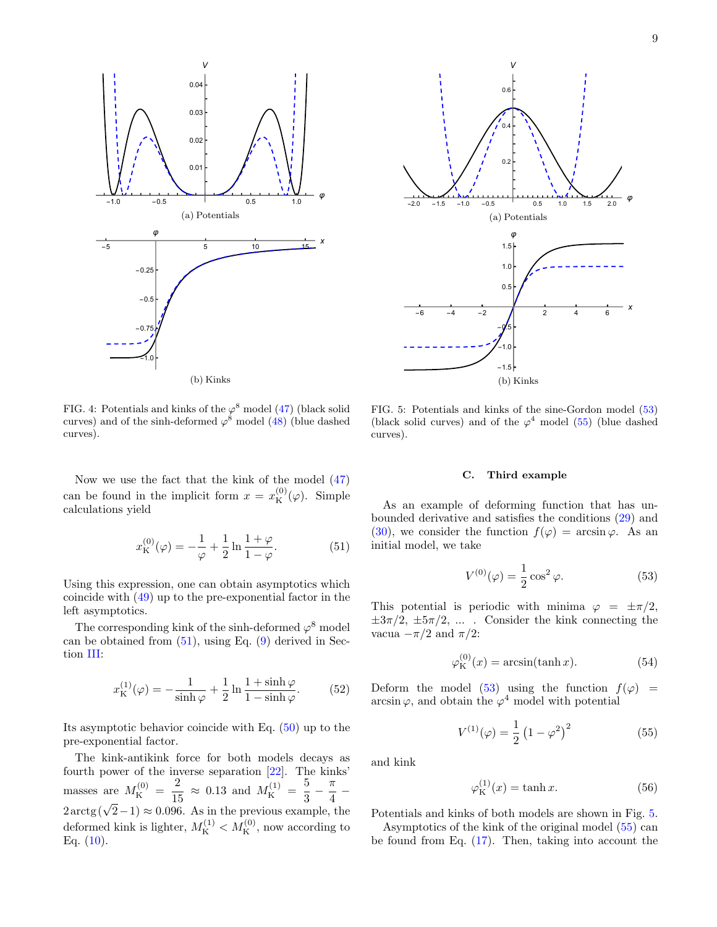

<span id="page-8-0"></span>FIG. 4: Potentials and kinks of the  $\varphi^8$  model [\(47\)](#page-7-4) (black solid curves) and of the sinh-deformed  $\varphi^8$  model [\(48\)](#page-7-5) (blue dashed curves).

Now we use the fact that the kink of the model [\(47\)](#page-7-4) can be found in the implicit form  $x = x_{\text{K}}^{(0)}(\varphi)$ . Simple calculations yield

<span id="page-8-1"></span>
$$
x_{\mathcal{K}}^{(0)}(\varphi) = -\frac{1}{\varphi} + \frac{1}{2}\ln\frac{1+\varphi}{1-\varphi}.
$$
 (51)

Using this expression, one can obtain asymptotics which coincide with [\(49\)](#page-7-6) up to the pre-exponential factor in the left asymptotics.

The corresponding kink of the sinh-deformed  $\varphi^8$  model can be obtained from  $(51)$ , using Eq.  $(9)$  derived in Section [III:](#page-2-0)

$$
x_{\mathcal{K}}^{(1)}(\varphi) = -\frac{1}{\sinh\varphi} + \frac{1}{2}\ln\frac{1+\sinh\varphi}{1-\sinh\varphi}.\tag{52}
$$

Its asymptotic behavior coincide with Eq. [\(50\)](#page-7-7) up to the pre-exponential factor.

The kink-antikink force for both models decays as fourth power of the inverse separation [\[22\]](#page-12-7). The kinks' masses are  $M_K^{(0)} = \frac{2}{15}$  $\frac{2}{15}$   $\approx$  0.13 and  $M_K^{(1)} = \frac{5}{3}$ 3 − π 4 −  $2 \arctg (\sqrt{2}-1) \approx 0.096$ . As in the previous example, the deformed kink is lighter,  $M_K^{(1)} < M_K^{(0)}$ , now according to Eq.  $(10)$ .



<span id="page-8-4"></span>FIG. 5: Potentials and kinks of the sine-Gordon model [\(53\)](#page-8-2) (black solid curves) and of the  $\varphi^4$  model [\(55\)](#page-8-3) (blue dashed curves).

### C. Third example

As an example of deforming function that has unbounded derivative and satisfies the conditions [\(29\)](#page-5-4) and [\(30\)](#page-5-5), we consider the function  $f(\varphi) = \arcsin \varphi$ . As an initial model, we take

<span id="page-8-2"></span>
$$
V^{(0)}(\varphi) = \frac{1}{2}\cos^2\varphi.
$$
 (53)

This potential is periodic with minima  $\varphi = \pm \pi/2$ ,  $\pm 3\pi/2$ ,  $\pm 5\pi/2$ , .... Consider the kink connecting the vacua  $-\pi/2$  and  $\pi/2$ :

<span id="page-8-5"></span>
$$
\varphi_{\mathcal{K}}^{(0)}(x) = \arcsin(\tanh x). \tag{54}
$$

Deform the model [\(53\)](#page-8-2) using the function  $f(\varphi)$  =  $arcsin \varphi$ , and obtain the  $\varphi^4$  model with potential

<span id="page-8-3"></span>
$$
V^{(1)}(\varphi) = \frac{1}{2} (1 - \varphi^2)^2
$$
 (55)

and kink

$$
\varphi_{\mathcal{K}}^{(1)}(x) = \tanh x. \tag{56}
$$

Potentials and kinks of both models are shown in Fig. [5.](#page-8-4) Asymptotics of the kink of the original model [\(55\)](#page-8-3) can be found from Eq.  $(17)$ . Then, taking into account the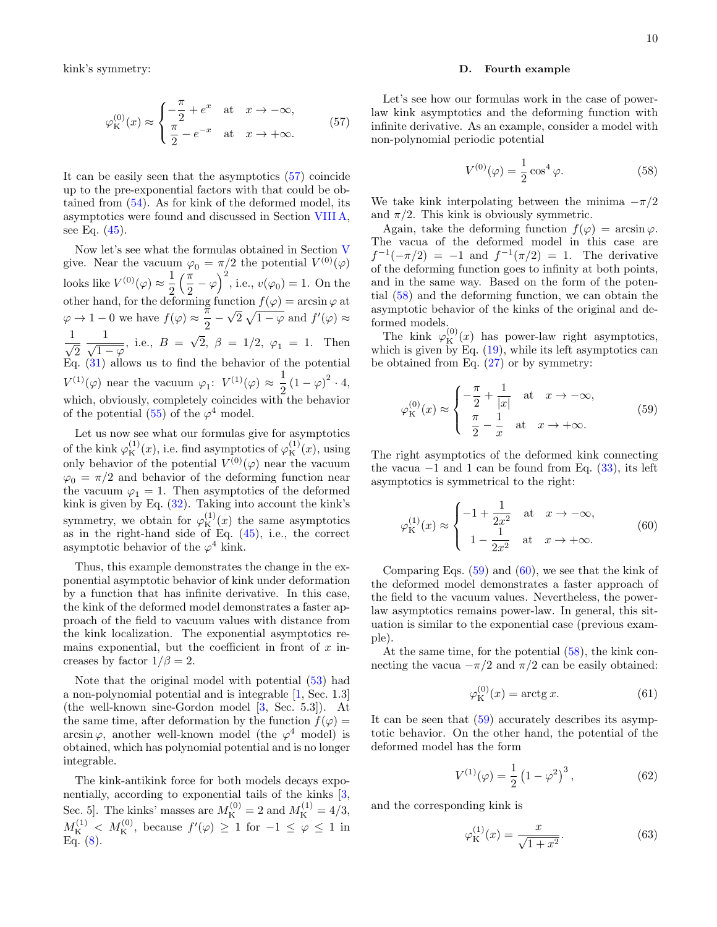kink's symmetry:

<span id="page-9-0"></span>
$$
\varphi_{\mathcal{K}}^{(0)}(x) \approx \begin{cases}\n-\frac{\pi}{2} + e^x & \text{at } x \to -\infty, \\
\frac{\pi}{2} - e^{-x} & \text{at } x \to +\infty.\n\end{cases}
$$
\n(57)

It can be easily seen that the asymptotics [\(57\)](#page-9-0) coincide up to the pre-exponential factors with that could be obtained from [\(54\)](#page-8-5). As for kink of the deformed model, its asymptotics were found and discussed in Section [VIII A,](#page-6-4) see Eq. [\(45\)](#page-7-8).

Now let's see what the formulas obtained in Section [V](#page-5-0) give. Near the vacuum  $\varphi_0 = \pi/2$  the potential  $V^{(0)}(\varphi)$ looks like  $V^{(0)}(\varphi) \approx \frac{1}{2}$ 2  $\sqrt{\pi}$  $\left(\frac{\pi}{2} - \varphi\right)^2$ , i.e.,  $v(\varphi_0) = 1$ . On the other hand, for the deforming function  $f(\varphi) = \arcsin \varphi$  at  $\varphi \to 1-0$  we have  $f(\varphi) \approx \frac{\pi}{2}$  $\frac{1}{2}$  $\sqrt{2} \sqrt{1-\varphi}$  and  $f'(\varphi) \approx$ 1  $\overline{\sqrt{2}}$ 1  $\frac{1}{\sqrt{1-\varphi}}$ , i.e.,  $B = \sqrt{2}$ ,  $\beta = 1/2$ ,  $\varphi_1 = 1$ . Then  $Eq. (31)$  $Eq. (31)$  allows us to find the behavior of the potential  $V^{(1)}(\varphi)$  near the vacuum  $\varphi_1$ :  $V^{(1)}(\varphi) \approx \frac{1}{2}$  $\frac{1}{2}(1-\varphi)^2 \cdot 4,$ which, obviously, completely coincides with the behavior of the potential  $(55)$  of the  $\varphi^4$  model.

Let us now see what our formulas give for asymptotics of the kink  $\varphi_{\rm K}^{(1)}(x)$ , i.e. find asymptotics of  $\varphi_{\rm K}^{(1)}(x)$ , using only behavior of the potential  $V^{(0)}(\varphi)$  near the vacuum  $\varphi_0 = \pi/2$  and behavior of the deforming function near the vacuum  $\varphi_1 = 1$ . Then asymptotics of the deformed kink is given by Eq. [\(32\)](#page-5-9). Taking into account the kink's symmetry, we obtain for  $\varphi_{\rm K}^{(1)}(x)$  the same asymptotics as in the right-hand side of Eq.  $(45)$ , i.e., the correct asymptotic behavior of the  $\varphi^4$  kink.

Thus, this example demonstrates the change in the exponential asymptotic behavior of kink under deformation by a function that has infinite derivative. In this case, the kink of the deformed model demonstrates a faster approach of the field to vacuum values with distance from the kink localization. The exponential asymptotics remains exponential, but the coefficient in front of  $x$  increases by factor  $1/\beta = 2$ .

Note that the original model with potential [\(53\)](#page-8-2) had a non-polynomial potential and is integrable [\[1,](#page-11-0) Sec. 1.3] (the well-known sine-Gordon model [\[3,](#page-11-16) Sec. 5.3]). At the same time, after deformation by the function  $f(\varphi)$  =  $\arcsin \varphi$ , another well-known model (the  $\varphi^4$  model) is obtained, which has polynomial potential and is no longer integrable.

The kink-antikink force for both models decays exponentially, according to exponential tails of the kinks [\[3,](#page-11-16) Sec. 5]. The kinks' masses are  $M_K^{(0)} = 2$  and  $M_K^{(1)} = 4/3$ ,  $M_K^{(1)} < M_K^{(0)}$ , because  $f'(\varphi) \geq 1$  for  $-1 \leq \varphi \leq 1$  in Eq.  $(8)$ .

### D. Fourth example

Let's see how our formulas work in the case of powerlaw kink asymptotics and the deforming function with infinite derivative. As an example, consider a model with non-polynomial periodic potential

<span id="page-9-1"></span>
$$
V^{(0)}(\varphi) = \frac{1}{2}\cos^4\varphi.
$$
 (58)

We take kink interpolating between the minima  $-\pi/2$ and  $\pi/2$ . This kink is obviously symmetric.

Again, take the deforming function  $f(\varphi) = \arcsin \varphi$ . The vacua of the deformed model in this case are  $f^{-1}(-\pi/2) = -1$  and  $f^{-1}(\pi/2) = 1$ . The derivative of the deforming function goes to infinity at both points, and in the same way. Based on the form of the potential [\(58\)](#page-9-1) and the deforming function, we can obtain the asymptotic behavior of the kinks of the original and deformed models.

The kink  $\varphi_{\rm K}^{(0)}(x)$  has power-law right asymptotics, which is given by Eq.  $(19)$ , while its left asymptotics can be obtained from Eq. [\(27\)](#page-5-6) or by symmetry:

<span id="page-9-2"></span>
$$
\varphi_{\mathcal{K}}^{(0)}(x) \approx \begin{cases}\n-\frac{\pi}{2} + \frac{1}{|x|} & \text{at } x \to -\infty, \\
\frac{\pi}{2} - \frac{1}{x} & \text{at } x \to +\infty.\n\end{cases}
$$
\n(59)

The right asymptotics of the deformed kink connecting the vacua  $-1$  and 1 can be found from Eq. [\(33\)](#page-5-3), its left asymptotics is symmetrical to the right:

<span id="page-9-3"></span>
$$
\varphi_{\mathcal{K}}^{(1)}(x) \approx \begin{cases}\n-1 + \frac{1}{2x^2} & \text{at } x \to -\infty, \\
1 - \frac{1}{2x^2} & \text{at } x \to +\infty.\n\end{cases}
$$
\n(60)

Comparing Eqs.  $(59)$  and  $(60)$ , we see that the kink of the deformed model demonstrates a faster approach of the field to the vacuum values. Nevertheless, the powerlaw asymptotics remains power-law. In general, this situation is similar to the exponential case (previous example).

At the same time, for the potential [\(58\)](#page-9-1), the kink connecting the vacua  $-\pi/2$  and  $\pi/2$  can be easily obtained:

$$
\varphi_{\mathcal{K}}^{(0)}(x) = \arctg x.
$$
 (61)

It can be seen that [\(59\)](#page-9-2) accurately describes its asymptotic behavior. On the other hand, the potential of the deformed model has the form

<span id="page-9-4"></span>
$$
V^{(1)}(\varphi) = \frac{1}{2} (1 - \varphi^2)^3, \qquad (62)
$$

and the corresponding kink is

<span id="page-9-5"></span>
$$
\varphi_{\mathcal{K}}^{(1)}(x) = \frac{x}{\sqrt{1+x^2}}.\tag{63}
$$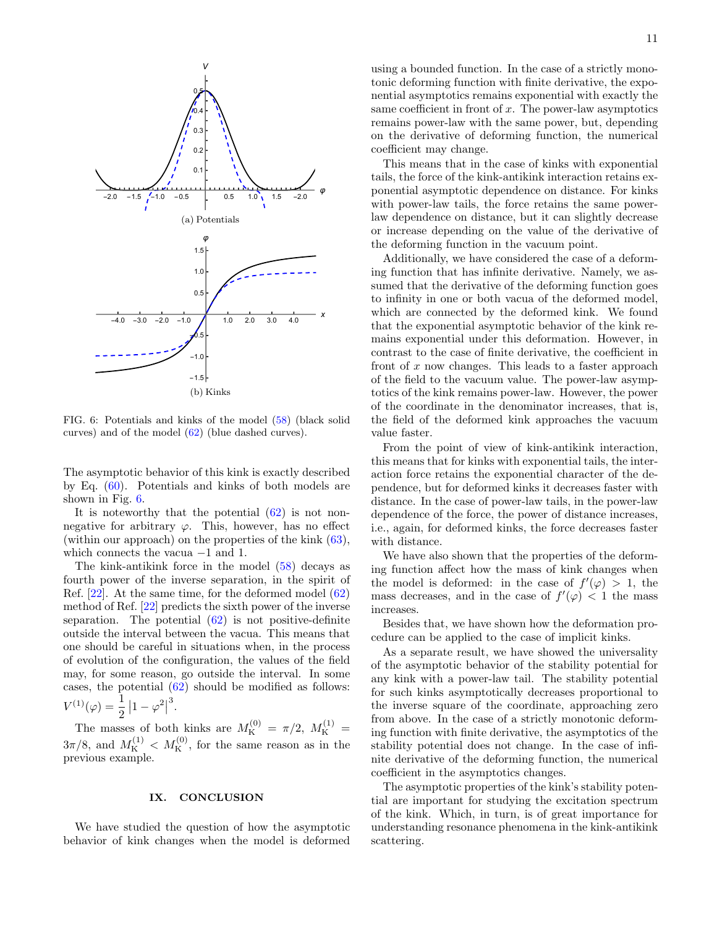

<span id="page-10-1"></span>FIG. 6: Potentials and kinks of the model [\(58\)](#page-9-1) (black solid curves) and of the model [\(62\)](#page-9-4) (blue dashed curves).

The asymptotic behavior of this kink is exactly described by Eq. [\(60\)](#page-9-3). Potentials and kinks of both models are shown in Fig. [6.](#page-10-1)

It is noteworthy that the potential  $(62)$  is not nonnegative for arbitrary  $\varphi$ . This, however, has no effect (within our approach) on the properties of the kink  $(63)$ , which connects the vacua −1 and 1.

The kink-antikink force in the model [\(58\)](#page-9-1) decays as fourth power of the inverse separation, in the spirit of Ref. [\[22\]](#page-12-7). At the same time, for the deformed model [\(62\)](#page-9-4) method of Ref. [\[22\]](#page-12-7) predicts the sixth power of the inverse separation. The potential  $(62)$  is not positive-definite outside the interval between the vacua. This means that one should be careful in situations when, in the process of evolution of the configuration, the values of the field may, for some reason, go outside the interval. In some cases, the potential [\(62\)](#page-9-4) should be modified as follows:  $V^{(1)}(\varphi) = \frac{1}{2}$  $\left|1-\varphi^2\right|$ 3 .

The masses of both kinks are  $M_K^{(0)} = \pi/2$ ,  $M_K^{(1)} =$  $3\pi/8$ , and  $M_K^{(1)} < M_K^{(0)}$ , for the same reason as in the previous example.

## <span id="page-10-0"></span>IX. CONCLUSION

We have studied the question of how the asymptotic behavior of kink changes when the model is deformed

using a bounded function. In the case of a strictly monotonic deforming function with finite derivative, the exponential asymptotics remains exponential with exactly the same coefficient in front of  $x$ . The power-law asymptotics remains power-law with the same power, but, depending on the derivative of deforming function, the numerical coefficient may change.

This means that in the case of kinks with exponential tails, the force of the kink-antikink interaction retains exponential asymptotic dependence on distance. For kinks with power-law tails, the force retains the same powerlaw dependence on distance, but it can slightly decrease or increase depending on the value of the derivative of the deforming function in the vacuum point.

Additionally, we have considered the case of a deforming function that has infinite derivative. Namely, we assumed that the derivative of the deforming function goes to infinity in one or both vacua of the deformed model, which are connected by the deformed kink. We found that the exponential asymptotic behavior of the kink remains exponential under this deformation. However, in contrast to the case of finite derivative, the coefficient in front of  $x$  now changes. This leads to a faster approach of the field to the vacuum value. The power-law asymptotics of the kink remains power-law. However, the power of the coordinate in the denominator increases, that is, the field of the deformed kink approaches the vacuum value faster.

From the point of view of kink-antikink interaction, this means that for kinks with exponential tails, the interaction force retains the exponential character of the dependence, but for deformed kinks it decreases faster with distance. In the case of power-law tails, in the power-law dependence of the force, the power of distance increases, i.e., again, for deformed kinks, the force decreases faster with distance.

We have also shown that the properties of the deforming function affect how the mass of kink changes when the model is deformed: in the case of  $f'(\varphi) > 1$ , the mass decreases, and in the case of  $f'(\varphi) < 1$  the mass increases.

Besides that, we have shown how the deformation procedure can be applied to the case of implicit kinks.

As a separate result, we have showed the universality of the asymptotic behavior of the stability potential for any kink with a power-law tail. The stability potential for such kinks asymptotically decreases proportional to the inverse square of the coordinate, approaching zero from above. In the case of a strictly monotonic deforming function with finite derivative, the asymptotics of the stability potential does not change. In the case of infinite derivative of the deforming function, the numerical coefficient in the asymptotics changes.

The asymptotic properties of the kink's stability potential are important for studying the excitation spectrum of the kink. Which, in turn, is of great importance for understanding resonance phenomena in the kink-antikink scattering.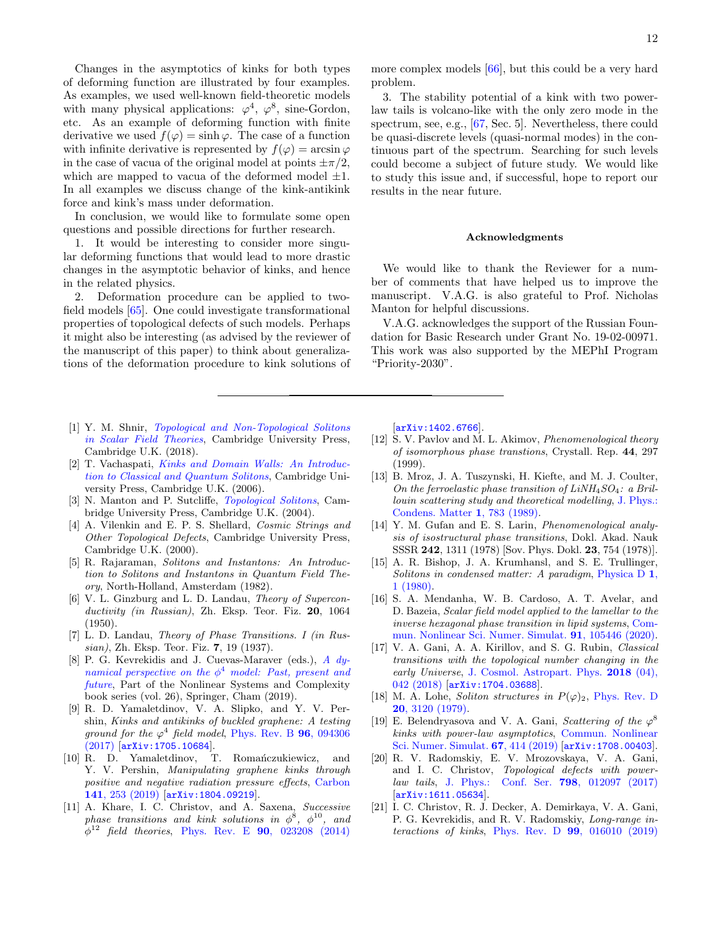Changes in the asymptotics of kinks for both types of deforming function are illustrated by four examples. As examples, we used well-known field-theoretic models with many physical applications:  $\varphi^4$ ,  $\varphi^8$ , sine-Gordon, etc. As an example of deforming function with finite derivative we used  $f(\varphi) = \sinh \varphi$ . The case of a function with infinite derivative is represented by  $f(\varphi) = \arcsin \varphi$ in the case of vacua of the original model at points  $\pm \pi/2$ , which are mapped to vacua of the deformed model  $\pm 1$ . In all examples we discuss change of the kink-antikink force and kink's mass under deformation.

In conclusion, we would like to formulate some open questions and possible directions for further research.

1. It would be interesting to consider more singular deforming functions that would lead to more drastic changes in the asymptotic behavior of kinks, and hence in the related physics.

2. Deformation procedure can be applied to twofield models [\[65\]](#page-13-1). One could investigate transformational properties of topological defects of such models. Perhaps it might also be interesting (as advised by the reviewer of the manuscript of this paper) to think about generalizations of the deformation procedure to kink solutions of

- <span id="page-11-0"></span>[1] Y. M. Shnir, [Topological and Non-Topological Solitons](https://doi.org/10.1017/9781108555623) [in Scalar Field Theories](https://doi.org/10.1017/9781108555623), Cambridge University Press, Cambridge U.K. (2018).
- <span id="page-11-11"></span>[2] T. Vachaspati, [Kinks and Domain Walls: An Introduc](https://doi.org/10.1017/CBO9780511535192)[tion to Classical and Quantum Solitons](https://doi.org/10.1017/CBO9780511535192), Cambridge University Press, Cambridge U.K. (2006).
- <span id="page-11-16"></span>N. Manton and P. Sutcliffe, *[Topological Solitons](https://doi.org/10.1017/CBO9780511617034)*, Cambridge University Press, Cambridge U.K. (2004).
- [4] A. Vilenkin and E. P. S. Shellard, *Cosmic Strings and* Other Topological Defects, Cambridge University Press, Cambridge U.K. (2000).
- <span id="page-11-1"></span>[5] R. Rajaraman, Solitons and Instantons: An Introduction to Solitons and Instantons in Quantum Field Theory, North-Holland, Amsterdam (1982).
- <span id="page-11-2"></span>V. L. Ginzburg and L. D. Landau, Theory of Superconductivity (in Russian), Zh. Eksp. Teor. Fiz. 20, 1064 (1950).
- <span id="page-11-3"></span>[7] L. D. Landau, Theory of Phase Transitions. I (in Russian), Zh. Eksp. Teor. Fiz. 7, 19 (1937).
- <span id="page-11-4"></span>[8] P. G. Kevrekidis and J. Cuevas-Maraver (eds.), [A dy](https://doi.org/10.1007/978-3-030-11839-6)[namical perspective on the](https://doi.org/10.1007/978-3-030-11839-6)  $\phi^4$  model: Past, present and [future](https://doi.org/10.1007/978-3-030-11839-6), Part of the Nonlinear Systems and Complexity book series (vol. 26), Springer, Cham (2019).
- <span id="page-11-5"></span>[9] R. D. Yamaletdinov, V. A. Slipko, and Y. V. Pershin, Kinks and antikinks of buckled graphene: A testing ground for the  $\varphi^4$  field model, [Phys. Rev. B](https://doi.org/10.1103/PhysRevB.96.094306) 96, 094306 [\(2017\)](https://doi.org/10.1103/PhysRevB.96.094306) [[arXiv:1705.10684](https://arxiv.org/abs/1705.10684)].
- <span id="page-11-6"></span>[10] R. D. Yamaletdinov, T. Romańczukiewicz, and Y. V. Pershin, Manipulating graphene kinks through positive and negative radiation pressure effects, [Carbon](https://doi.org/10.1016/j.carbon.2018.09.032) 141[, 253 \(2019\)](https://doi.org/10.1016/j.carbon.2018.09.032) [[arXiv:1804.09219](https://arxiv.org/abs/1804.09219)].
- <span id="page-11-7"></span>[11] A. Khare, I. C. Christov, and A. Saxena, Successive phase transitions and kink solutions in  $\phi^8$ ,  $\phi^{10}$ , and  $\phi^{12}$  field theories, Phys. Rev. E **90**[, 023208 \(2014\)](https://doi.org/10.1103/PhysRevE.90.023208)

more complex models [\[66\]](#page-13-2), but this could be a very hard problem.

3. The stability potential of a kink with two powerlaw tails is volcano-like with the only zero mode in the spectrum, see, e.g., [\[67,](#page-13-3) Sec. 5]. Nevertheless, there could be quasi-discrete levels (quasi-normal modes) in the continuous part of the spectrum. Searching for such levels could become a subject of future study. We would like to study this issue and, if successful, hope to report our results in the near future.

### Acknowledgments

We would like to thank the Reviewer for a number of comments that have helped us to improve the manuscript. V.A.G. is also grateful to Prof. Nicholas Manton for helpful discussions.

V.A.G. acknowledges the support of the Russian Foundation for Basic Research under Grant No. 19-02-00971. This work was also supported by the MEPhI Program "Priority-2030".

[[arXiv:1402.6766](https://arxiv.org/abs/1402.6766)].

- [12] S. V. Pavlov and M. L. Akimov, Phenomenological theory of isomorphous phase transtions, Crystall. Rep. 44, 297 (1999).
- [13] B. Mroz, J. A. Tuszynski, H. Kiefte, and M. J. Coulter, On the ferroelastic phase transition of  $LiNH<sub>4</sub>SO<sub>4</sub>$ : a Brillouin scattering study and theoretical modelling, [J. Phys.:](https://doi.org/10.1088/0953-8984/1/4/011) [Condens. Matter](https://doi.org/10.1088/0953-8984/1/4/011) 1, 783 (1989).
- <span id="page-11-8"></span>[14] Y. M. Gufan and E. S. Larin, *Phenomenological analy*sis of isostructural phase transitions, Dokl. Akad. Nauk SSSR 242, 1311 (1978) [Sov. Phys. Dokl. 23, 754 (1978)].
- <span id="page-11-9"></span>[15] A. R. Bishop, J. A. Krumhansl, and S. E. Trullinger, Solitons in condensed matter: A paradigm, [Physica D](https://doi.org/10.1016/0167-2789(80)90003-2) 1, [1 \(1980\).](https://doi.org/10.1016/0167-2789(80)90003-2)
- <span id="page-11-10"></span>[16] S. A. Mendanha, W. B. Cardoso, A. T. Avelar, and D. Bazeia, Scalar field model applied to the lamellar to the inverse hexagonal phase transition in lipid systems, [Com](https://doi.org/10.1016/j.cnsns.2020.105446)[mun. Nonlinear Sci. Numer. Simulat.](https://doi.org/10.1016/j.cnsns.2020.105446) 91, 105446 (2020).
- <span id="page-11-12"></span>[17] V. A. Gani, A. A. Kirillov, and S. G. Rubin, *Classical* transitions with the topological number changing in the early Universe, [J. Cosmol. Astropart. Phys.](https://doi.org/10.1088/1475-7516/2018/04/042) 2018 (04), [042 \(2018\)](https://doi.org/10.1088/1475-7516/2018/04/042) [[arXiv:1704.03688](https://arxiv.org/abs/arXiv:1704.03688)].
- <span id="page-11-13"></span>[18] M. A. Lohe, Soliton structures in  $P(\varphi)_2$ , [Phys. Rev. D](https://doi.org/10.1103/PhysRevD.20.3120) 20[, 3120 \(1979\).](https://doi.org/10.1103/PhysRevD.20.3120)
- <span id="page-11-15"></span>[19] E. Belendryasova and V. A. Gani, Scattering of the  $\varphi^8$ kinks with power-law asymptotics, [Commun. Nonlinear](https://doi.org/10.1016/j.cnsns.2018.07.030) [Sci. Numer. Simulat.](https://doi.org/10.1016/j.cnsns.2018.07.030) 67, 414 (2019) [[arXiv:1708.00403](https://arxiv.org/abs/1708.00403)].
- <span id="page-11-14"></span>[20] R. V. Radomskiy, E. V. Mrozovskaya, V. A. Gani, and I. C. Christov, Topological defects with powerlaw tails, [J. Phys.: Conf. Ser.](https://doi.org/10.1088/1742-6596/798/1/012087) 798, 012097 (2017) [[arXiv:1611.05634](https://arxiv.org/abs/1611.05634)].
- [21] I. C. Christov, R. J. Decker, A. Demirkaya, V. A. Gani, P. G. Kevrekidis, and R. V. Radomskiy, Long-range interactions of kinks, Phys. Rev. D  $99$ [, 016010 \(2019\)](https://doi.org/10.1103/PhysRevD.99.016010)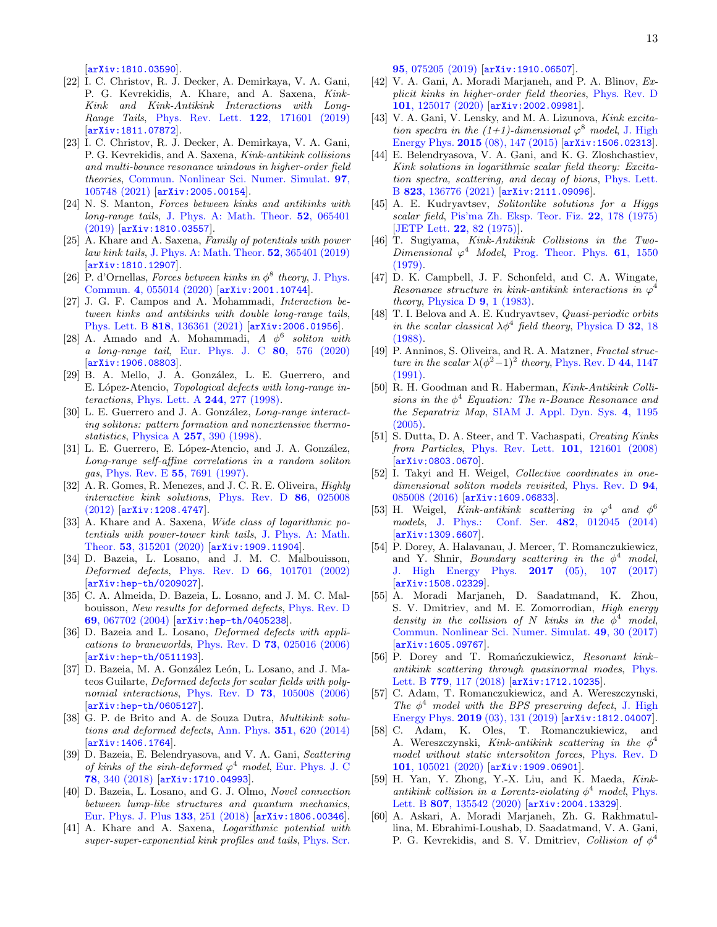[[arXiv:1810.03590](https://arxiv.org/abs/1810.03590)].

- <span id="page-12-7"></span>[22] I. C. Christov, R. J. Decker, A. Demirkaya, V. A. Gani, P. G. Kevrekidis, A. Khare, and A. Saxena, Kink-Kink and Kink-Antikink Interactions with Long-Range Tails, [Phys. Rev. Lett.](https://doi.org/10.1103/PhysRevLett.122.171601) **122**, 171601 (2019) [[arXiv:1811.07872](https://arxiv.org/abs/1811.07872)].
- [23] I. C. Christov, R. J. Decker, A. Demirkaya, V. A. Gani, P. G. Kevrekidis, and A. Saxena, Kink-antikink collisions and multi-bounce resonance windows in higher-order field theories, [Commun. Nonlinear Sci. Numer. Simulat.](https://doi.org/10.1016/j.cnsns.2021.105748) 97, [105748 \(2021\)](https://doi.org/10.1016/j.cnsns.2021.105748) [[arXiv:2005.00154](https://arxiv.org/abs/2005.00154)].
- <span id="page-12-8"></span>[24] N. S. Manton, Forces between kinks and antikinks with long-range tails, [J. Phys. A: Math. Theor.](https://doi.org/10.1088/1751-8121/aaf9d1) 52, 065401 [\(2019\)](https://doi.org/10.1088/1751-8121/aaf9d1) [[arXiv:1810.03557](https://arxiv.org/abs/1810.03557)].
- [25] A. Khare and A. Saxena, Family of potentials with power law kink tails, [J. Phys. A: Math. Theor.](https://doi.org/10.1088/1751-8121/ab30fd) 52, 365401 (2019) [[arXiv:1810.12907](https://arxiv.org/abs/1810.12907)].
- <span id="page-12-16"></span>[26] P. d'Ornellas, Forces between kinks in  $\phi^8$  theory, [J. Phys.](https://doi.org/10.1088/2399-6528/ab90c2) Commun. 4[, 055014 \(2020\)](https://doi.org/10.1088/2399-6528/ab90c2) [[arXiv:2001.10744](https://arxiv.org/abs/2001.10744)].
- <span id="page-12-9"></span>[27] J. G. F. Campos and A. Mohammadi, Interaction between kinks and antikinks with double long-range tails, Phys. Lett. B 818[, 136361 \(2021\)](https://doi.org/10.1016/j.physletb.2021.136361) [[arXiv:2006.01956](https://arxiv.org/abs/2006.01956)].
- <span id="page-12-0"></span>[28] A. Amado and A. Mohammadi,  $A \phi^6$  soliton with a long-range tail, [Eur. Phys. J. C](https://doi.org/10.1140/epjc/s10052-020-8162-9) 80, 576 (2020) [[arXiv:1906.08803](https://arxiv.org/abs/1906.08803)].
- <span id="page-12-1"></span>[29] B. A. Mello, J. A. González, L. E. Guerrero, and E. López-Atencio, Topological defects with long-range interactions, [Phys. Lett. A](https://doi.org/10.1016/S0375-9601(98)00213-8) 244, 277 (1998).
- [30] L. E. Guerrero and J. A. González, Long-range interacting solitons: pattern formation and nonextensive thermostatistics, Physica A 257[, 390 \(1998\).](https://doi.org/10.1016/S0378-4371(98)00165-4)
- [31] L. E. Guerrero, E. López-Atencio, and J. A. González, Long-range self-affine correlations in a random soliton gas, Phys. Rev. E 55[, 7691 \(1997\).](https://doi.org/10.1103/PhysRevE.55.7691)
- [32] A. R. Gomes, R. Menezes, and J. C. R. E. Oliveira, *Highly* interactive kink solutions, [Phys. Rev. D](https://doi.org/10.1103/PhysRevD.86.025008) 86, 025008 [\(2012\)](https://doi.org/10.1103/PhysRevD.86.025008) [[arXiv:1208.4747](https://arxiv.org/abs/1208.4747)].
- <span id="page-12-2"></span>[33] A. Khare and A. Saxena, Wide class of logarithmic potentials with power-tower kink tails, [J. Phys. A: Math.](https://doi.org/10.1088/1751-8121/ab84ac) Theor. 53[, 315201 \(2020\)](https://doi.org/10.1088/1751-8121/ab84ac) [[arXiv:1909.11904](https://arxiv.org/abs/1909.11904)].
- <span id="page-12-3"></span>[34] D. Bazeia, L. Losano, and J. M. C. Malbouisson, Deformed defects, Phys. Rev. D 66[, 101701 \(2002\)](https://doi.org/10.1103/PhysRevD.66.101701) [[arXiv:hep-th/0209027](https://arxiv.org/abs/hep-th/0209027)].
- <span id="page-12-4"></span>[35] C. A. Almeida, D. Bazeia, L. Losano, and J. M. C. Malbouisson, New results for deformed defects, [Phys. Rev. D](https://doi.org/10.1103/PhysRevD.69.067702) 69[, 067702 \(2004\)](https://doi.org/10.1103/PhysRevD.69.067702) [[arXiv:hep-th/0405238](https://arxiv.org/abs/hep-th/0405238)].
- [36] D. Bazeia and L. Losano, *Deformed defects with appli*cations to braneworlds, Phys. Rev. D 73[, 025016 \(2006\)](https://doi.org/10.1103/PhysRevD.73.025016) [[arXiv:hep-th/0511193](https://arxiv.org/abs/hep-th/0511193)].
- [37] D. Bazeia, M. A. González León, L. Losano, and J. Mateos Guilarte, Deformed defects for scalar fields with poly-nomial interactions, Phys. Rev. D 73[, 105008 \(2006\)](https://doi.org/10.1103/PhysRevD.73.105008) [[arXiv:hep-th/0605127](https://arxiv.org/abs/hep-th/0605127)].
- <span id="page-12-6"></span>[38] G. P. de Brito and A. de Souza Dutra, Multikink solutions and deformed defects, Ann. Phys. 351[, 620 \(2014\)](https://doi.org/10.1016/j.aop.2014.09.018) [[arXiv:1406.1764](https://arxiv.org/abs/1406.1764)].
- <span id="page-12-15"></span>[39] D. Bazeia, E. Belendryasova, and V. A. Gani, Scattering of kinks of the sinh-deformed  $\varphi^4$  model, [Eur. Phys. J. C](https://doi.org/10.1140/epjc/s10052-018-5815-z) 78[, 340 \(2018\)](https://doi.org/10.1140/epjc/s10052-018-5815-z) [[arXiv:1710.04993](https://arxiv.org/abs/1710.04993)].
- <span id="page-12-5"></span>[40] D. Bazeia, L. Losano, and G. J. Olmo, Novel connection between lump-like structures and quantum mechanics, [Eur. Phys. J. Plus](https://doi.org/10.1140/epjp/i2018-12082-2) 133, 251 (2018) [[arXiv:1806.00346](https://arxiv.org/abs/1806.00346)].
- <span id="page-12-10"></span>[41] A. Khare and A. Saxena, Logarithmic potential with super-super-exponential kink profiles and tails, [Phys. Scr.](https://doi.org/10.1088/1402-4896/ab8eeb)

95[, 075205 \(2019\)](https://doi.org/10.1088/1402-4896/ab8eeb) [[arXiv:1910.06507](https://arxiv.org/abs/1910.06507)].

- <span id="page-12-11"></span>[42] V. A. Gani, A. Moradi Marjaneh, and P. A. Blinov, Explicit kinks in higher-order field theories, [Phys. Rev. D](https://doi.org/10.1103/PhysRevD.101.125017) 101[, 125017 \(2020\)](https://doi.org/10.1103/PhysRevD.101.125017) [[arXiv:2002.09981](https://arxiv.org/abs/2002.09981)].
- <span id="page-12-12"></span>[43] V. A. Gani, V. Lensky, and M. A. Lizunova, Kink excitation spectra in the  $(1+1)$ -dimensional  $\varphi^8$  model, [J. High](https://doi.org/10.1007/JHEP08(2015)147) Energy Phys. 2015 [\(08\), 147 \(2015\)](https://doi.org/10.1007/JHEP08(2015)147) [[arXiv:1506.02313](https://arxiv.org/abs/1506.02313)].
- <span id="page-12-13"></span>[44] E. Belendryasova, V. A. Gani, and K. G. Zloshchastiev, Kink solutions in logarithmic scalar field theory: Excitation spectra, scattering, and decay of bions, [Phys. Lett.](https://doi.org/10.1016/j.physletb.2021.136776) B 823[, 136776 \(2021\)](https://doi.org/10.1016/j.physletb.2021.136776) [[arXiv:2111.09096](https://arxiv.org/abs/2111.09096)].
- <span id="page-12-14"></span>[45] A. E. Kudryavtsev, Solitonlike solutions for a Higgs scalar field, [Pis'ma Zh. Eksp. Teor. Fiz.](http://www.jetpletters.ac.ru/ps/528/article_8373.shtml) 22, 178 (1975) [\[JETP Lett.](http://www.jetpletters.ac.ru/ps/1522/article_23290.shtml) 22, 82 (1975)].
- [46] T. Sugiyama, Kink-Antikink Collisions in the Two-Dimensional  $\varphi^4$  Model, [Prog. Theor. Phys.](https://doi.org/10.1143/PTP.61.1550) 61, 1550 [\(1979\).](https://doi.org/10.1143/PTP.61.1550)
- [47] D. K. Campbell, J. F. Schonfeld, and C. A. Wingate, Resonance structure in kink-antikink interactions in  $\varphi^4$ theory, [Physica D](https://doi.org/10.1016/0167-2789(83)90289-0)  $9, 1$  (1983).
- [48] T. I. Belova and A. E. Kudryavtsev, *Quasi-periodic orbits* in the scalar classical  $\lambda \phi^4$  field theory, [Physica D](https://doi.org/10.1016/0167-2789(88)90085-1) 32, 18 [\(1988\).](https://doi.org/10.1016/0167-2789(88)90085-1)
- [49] P. Anninos, S. Oliveira, and R. A. Matzner, Fractal structure in the scalar  $\lambda(\phi^2-1)^2$  theory, [Phys. Rev. D](https://doi.org/10.1103/PhysRevD.44.1147) 44, 1147  $(1991)$ .
- [50] R. H. Goodman and R. Haberman, Kink-Antikink Collisions in the  $\phi^4$  Equation: The n-Bounce Resonance and the Separatrix Map, [SIAM J. Appl. Dyn. Sys.](https://doi.org/10.1137/050632981) 4, 1195  $(2005)$ .
- [51] S. Dutta, D. A. Steer, and T. Vachaspati, Creating Kinks from Particles, [Phys. Rev. Lett.](https://doi.org/10.1103/PhysRevLett.101.121601) 101, 121601 (2008) [[arXiv:0803.0670](https://arxiv.org/abs/0803.0670)].
- [52] I. Takyi and H. Weigel, *Collective coordinates in one-*dimensional soliton models revisited, [Phys. Rev. D](https://doi.org/10.1103/PhysRevD.94.085008) 94, [085008 \(2016\)](https://doi.org/10.1103/PhysRevD.94.085008) [[arXiv:1609.06833](https://arxiv.org/abs/1609.06833)].
- [53] H. Weigel, Kink-antikink scattering in  $\varphi^4$  and  $\varphi^6$ models, [J. Phys.: Conf. Ser.](https://doi.org/10.1088/1742-6596/482/1/012045) 482, 012045 (2014) [[arXiv:1309.6607](http://arxiv.org/abs/1309.6607)].
- [54] P. Dorey, A. Halavanau, J. Mercer, T. Romanczukiewicz, and Y. Shnir, *Boundary scattering in the*  $\phi^4$  *model*, [J. High Energy Phys.](https://doi.org/10.1007/JHEP05(2017)107) 2017 (05), 107 (2017) [[arXiv:1508.02329](https://arxiv.org/abs/1508.02329)].
- [55] A. Moradi Marjaneh, D. Saadatmand, K. Zhou, S. V. Dmitriev, and M. E. Zomorrodian, High energy density in the collision of N kinks in the  $\phi^4$  model, [Commun. Nonlinear Sci. Numer. Simulat.](https://doi.org/10.1016/j.cnsns.2017.01.022) 49, 30 (2017) [[arXiv:1605.09767](https://arxiv.org/abs/1605.09767)].
- [56] P. Dorey and T. Romańczukiewicz, Resonant kinkantikink scattering through quasinormal modes, [Phys.](https://doi.org/10.1016/j.physletb.2018.02.003) Lett. B 779[, 117 \(2018\)](https://doi.org/10.1016/j.physletb.2018.02.003) [[arXiv:1712.10235](https://arxiv.org/abs/1712.10235)].
- [57] C. Adam, T. Romanczukiewicz, and A. Wereszczynski, The  $\phi^4$  model with the BPS preserving defect, [J. High](https://doi.org/10.1007/JHEP03(2019)131) Energy Phys. 2019 [\(03\), 131 \(2019\)](https://doi.org/10.1007/JHEP03(2019)131) [[arXiv:1812.04007](https://arxiv.org/abs/1812.04007)].
- [58] C. Adam, K. Oles, T. Romanczukiewicz, and A. Wereszczynski, Kink-antikink scattering in the  $\phi^4$ model without static intersoliton forces, [Phys. Rev. D](https://doi.org/10.1103/PhysRevD.101.105021) 101[, 105021 \(2020\)](https://doi.org/10.1103/PhysRevD.101.105021) [[arXiv:1909.06901](https://arxiv.org/abs/1909.06901)].
- [59] H. Yan, Y. Zhong, Y.-X. Liu, and K. Maeda, Kinkantikink collision in a Lorentz-violating  $\phi^4$  model, [Phys.](https://doi.org/10.1016/j.physletb.2020.135542) Lett. B 807[, 135542 \(2020\)](https://doi.org/10.1016/j.physletb.2020.135542) [[arXiv:2004.13329](https://arxiv.org/abs/2004.13329)].
- [60] A. Askari, A. Moradi Marjaneh, Zh. G. Rakhmatullina, M. Ebrahimi-Loushab, D. Saadatmand, V. A. Gani, P. G. Kevrekidis, and S. V. Dmitriev, Collision of  $\phi^4$